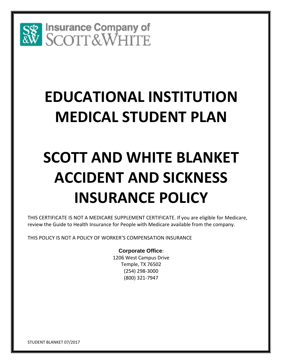

# **EDUCATIONAL INSTITUTION MEDICAL STUDENT PLAN**

# **SCOTT AND WHITE BLANKET ACCIDENT AND SICKNESS INSURANCE POLICY**

THIS CERTIFICATE IS NOT A MEDICARE SUPPLEMENT CERTIFICATE. If you are eligible for Medicare, review the Guide to Health Insurance for People with Medicare available from the company.

THIS POLICY IS NOT A POLICY OF WORKER'S COMPENSATION INSURANCE

# **Corporate Office**:

1206 West Campus Drive Temple, TX 76502 (254) 298-3000 (800) 321-7947

STUDENT BLANKET 07/2017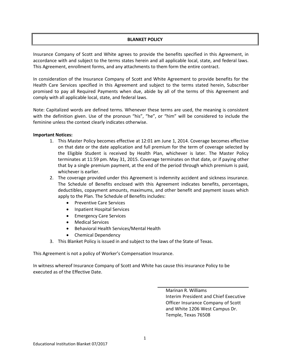# **BLANKET POLICY**

Insurance Company of Scott and White agrees to provide the benefits specified in this Agreement, in accordance with and subject to the terms states herein and all applicable local, state, and federal laws. This Agreement, enrollment forms, and any attachments to them form the entire contract.

In consideration of the Insurance Company of Scott and White Agreement to provide benefits for the Health Care Services specified in this Agreement and subject to the terms stated herein, Subscriber promised to pay all Required Payments when due, abide by all of the terms of this Agreement and comply with all applicable local, state, and federal laws.

Note: Capitalized words are defined terms. Whenever these terms are used, the meaning is consistent with the definition given. Use of the pronoun "his", "he", or "him" will be considered to include the feminine unless the context clearly indicates otherwise.

# **Important Notices:**

- 1. This Master Policy becomes effective at 12:01 am June 1, 2014. Coverage becomes effective on that date or the date application and full premium for the term of coverage selected by the Eligible Student is received by Health Plan, whichever is later. The Master Policy terminates at 11:59 pm. May 31, 2015. Coverage terminates on that date, or if paying other that by a single premium payment, at the end of the period through which premium is paid, whichever is earlier.
- 2. The coverage provided under this Agreement is indemnity accident and sickness insurance. The Schedule of Benefits enclosed with this Agreement indicates benefits, percentages, deductibles, copayment amounts, maximums, and other benefit and payment issues which apply to the Plan. The Schedule of Benefits includes:
	- **•** Preventive Care Services
	- Inpatient Hospital Services
	- **•** Emergency Care Services
	- Medical Services
	- Behavioral Health Services/Mental Health
	- Chemical Dependency
- 3. This Blanket Policy is issued in and subject to the laws of the State of Texas.

This Agreement is not a policy of Worker's Compensation Insurance.

In witness whereof Insurance Company of Scott and White has cause this insurance Policy to be executed as of the Effective Date.

> Marinan R. Williams Interim President and Chief Executive Officer Insurance Company of Scott and White 1206 West Campus Dr. Temple, Texas 76508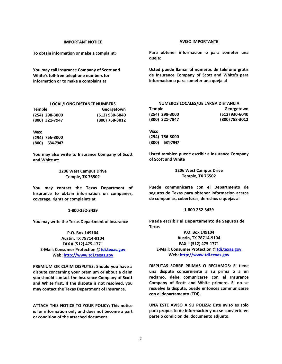#### **IMPORTANT NOTICE**

**To obtain information or make a complaint:**

**You may call Insurance Company of Scott and White's toll-free telephone numbers for information or to make a complaint at**

#### **LOCAL/LONG DISTANCE NUMBERS**

| <b>Temple</b>  | Georgetown     |
|----------------|----------------|
| (254) 298-3000 | (512) 930-6040 |
| (800) 321-7947 | (800) 758-3012 |

**Waco (254) 756-8000 (800) 684-7947**

**You may also write to Insurance Company of Scott and White at:**

> **1206 West Campus Drive Temple, TX 76502**

**You may contact the Texas Department of Insurance to obtain information on companies, coverage, rights or complaints at**

#### **1-800-252-3439**

**You may write the Texas Department of Insurance**

**P.O. Box 149104 Austin, TX 78714-9104 FAX # (512) 475-1771 E-Mail: Consumer Protection [@tdi.texas.gov](http://tdi.texas.gov/) Web[: http://www.tdi.texas.gov](http://www.tdi.texas.gov/)**

**PREMIUM OR CLAIM DISPUTES: Should you have a dispute concerning your premium or about a claim you should contact the Insurance Company of Scott and White first. If the dispute is not resolved, you may contact the Texas Department of Insurance.**

**ATTACH THIS NOTICE TO YOUR POLICY: This notice is for information only and does not become a part or condition of the attached document.**

#### **AVISO IMPORTANTE**

**Para obtener informacion o para someter una queja:**

**Usted puede llamar al numeros de telefono gratis de Insurance Company of Scott and White's para informacion o para someter una queja al**

| NUMEROS LOCALES/DE LARGA DISTANCIA |                |  |
|------------------------------------|----------------|--|
| Temple                             | Georgetown     |  |
| (254) 298-3000                     | (512) 930-6040 |  |
| (800) 321-7947                     | (800) 758-3012 |  |

**Waco (254) 756-8000 (800) 684-7947**

**Usted tambien puede escribir a Insurance Company of Scott and White**

> **1206 West Campus Drive Temple, TX 76502**

**Puede communicarse con el Departmento de seguros de Texas para obtener informacion acerca de companias, coberturas, derechos o quejas al**

#### **1-800-252-3439**

**Puede escribir al Departamento de Seguros de Texas**

**P.O. Box 149104 Austin, TX 78714-9104 FAX # (512) 475-1771 E-Mail: Consumer Protection [@tdi.texas.gov](http://tdi.texas.gov/) Web[: http://www.tdi.texas.gov](http://www.tdi.texas.gov/)**

**DISPUTAS SOBRE PRIMAS O RECLAMOS: Si tiene una disputa concerniente a su prima o a un reclamo, debe comunicarse con el Insurance Company of Scott and White primero. Si no se resuelve la disputa, puede entonces communicarse con el departamento (TDI).**

**UNA ESTE AVISO A SU POLIZA: Este aviso es solo para proposito de informacion y no se convierte en parte o condicion del documento adjunto.**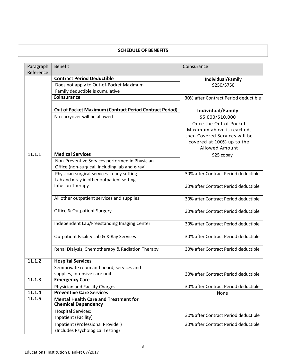# **SCHEDULE OF BENEFITS**

| Paragraph | <b>Benefit</b>                                                            | Coinsurance                          |
|-----------|---------------------------------------------------------------------------|--------------------------------------|
| Reference | <b>Contract Period Deductible</b>                                         |                                      |
|           | Does not apply to Out-of-Pocket Maximum                                   | Individual/Family<br>\$250/\$750     |
|           | Family deductible is cumulative                                           |                                      |
|           | <b>Coinsurance</b>                                                        | 30% after Contract Period deductible |
|           |                                                                           |                                      |
|           | <b>Out of Pocket Maximum (Contract Period Contract Period)</b>            | Individual/Family                    |
|           | No carryover will be allowed                                              | \$5,000/\$10,000                     |
|           |                                                                           | Once the Out of Pocket               |
|           |                                                                           | Maximum above is reached,            |
|           |                                                                           | then Covered Services will be        |
|           |                                                                           | covered at 100% up to the            |
|           |                                                                           | <b>Allowed Amount</b>                |
| 11.1.1    | <b>Medical Services</b>                                                   | \$25 copay                           |
|           | Non-Preventive Services performed in Physician                            |                                      |
|           | Office (non-surgical, including lab and x-ray)                            |                                      |
|           | Physician surgical services in any setting                                | 30% after Contract Period deductible |
|           | Lab and x-ray in other outpatient setting                                 |                                      |
|           | <b>Infusion Therapy</b>                                                   | 30% after Contract Period deductible |
|           | All other outpatient services and supplies                                | 30% after Contract Period deductible |
|           | <b>Office &amp; Outpatient Surgery</b>                                    | 30% after Contract Period deductible |
|           | Independent Lab/Freestanding Imaging Center                               | 30% after Contract Period deductible |
|           | <b>Outpatient Facility Lab &amp; X-Ray Services</b>                       | 30% after Contract Period deductible |
|           | Renal Dialysis, Chemotherapy & Radiation Therapy                          | 30% after Contract Period deductible |
| 11.1.2    | <b>Hospital Services</b>                                                  |                                      |
|           | Semiprivate room and board, services and                                  |                                      |
|           | supplies, intensive care unit                                             | 30% after Contract Period deductible |
| 11.1.3    | <b>Emergency Care</b>                                                     |                                      |
|           | Physician and Facility Charges                                            | 30% after Contract Period deductible |
| 11.1.4    | <b>Preventive Care Services</b>                                           | None                                 |
| 11.1.5    | <b>Mental Health Care and Treatment for</b><br><b>Chemical Dependency</b> |                                      |
|           | <b>Hospital Services:</b>                                                 |                                      |
|           | Inpatient (Facility)                                                      | 30% after Contract Period deductible |
|           | Inpatient (Professional Provider)<br>(Includes Psychological Testing)     | 30% after Contract Period deductible |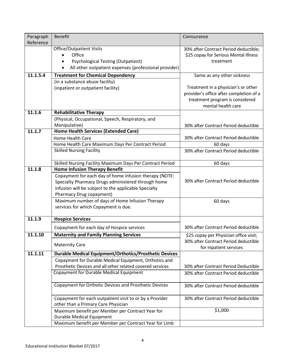| Paragraph | <b>Benefit</b>                                                                            | Coinsurance                                                    |
|-----------|-------------------------------------------------------------------------------------------|----------------------------------------------------------------|
| Reference |                                                                                           |                                                                |
|           | <b>Office/Outpatient Visits</b>                                                           | 30% after Contract Period deductible;                          |
|           | Office                                                                                    | \$25 copay for Serious Mental Illness                          |
|           | <b>Psychological Testing (Outpatient)</b><br>٠                                            | treatment                                                      |
|           | All other outpatient expenses (professional provider)                                     |                                                                |
| 11.1.5.4  | <b>Treatment for Chemical Dependency</b>                                                  | Same as any other sickness                                     |
|           | (in a substance abuse facility)                                                           |                                                                |
|           | (inpatient or outpatient facility)                                                        | Treatment in a physician's or other                            |
|           |                                                                                           | provider's office after completion of a                        |
|           |                                                                                           | treatment program is considered<br>mental health care          |
| 11.1.6    | <b>Rehabilitative Therapy</b>                                                             |                                                                |
|           | (Physical, Occupational, Speech, Respiratory, and                                         |                                                                |
|           | Manipulative)                                                                             |                                                                |
| 11.1.7    | Home Health Services (Extended Care)                                                      | 30% after Contract Period deductible                           |
|           | Home Health Care                                                                          | 30% after Contract Period deductible                           |
|           | Home Health Care Maximum Days Per Contract Period                                         | 60 days                                                        |
|           | <b>Skilled Nursing Facility</b>                                                           | 30% after Contract Period deductible                           |
|           |                                                                                           |                                                                |
|           | Skilled Nursing Facility Maximum Days Per Contract Period                                 | 60 days                                                        |
| 11.1.8    | <b>Home Infusion Therapy Benefit</b>                                                      |                                                                |
|           | Copayment for each day of home infusion therapy (NOTE:                                    |                                                                |
|           | Specialty Pharmacy Drugs administered through home                                        | 30% after Contract Period deductible                           |
|           | infusion will be subject to the applicable Specialty                                      |                                                                |
|           | Pharmacy Drug copayment)                                                                  |                                                                |
|           | Maximum number of days of Home Infusion Therapy                                           | 60 days                                                        |
|           | services for which Copayment is due.                                                      |                                                                |
| 11.1.9    | <b>Hospice Services</b>                                                                   |                                                                |
|           |                                                                                           |                                                                |
|           | Copayment for each day of Hospice services                                                | 30% after Contract Period deductible                           |
| 11.1.10   | <b>Maternity and Family Planning Services</b>                                             | \$25 copay per Physician office visit;                         |
|           | <b>Maternity Care</b>                                                                     | 30% after Contract Period deductible<br>for inpatient services |
| 11.1.11   | <b>Durable Medical Equipment/Orthotics/Prosthetic Devices</b>                             |                                                                |
|           | Copayment for Durable Medical Equipment, Orthotics and                                    |                                                                |
|           | Prosthetic Devices and all other related covered services                                 | 30% after Contract Period Deductible                           |
|           | Copayment for Durable Medical Equipment                                                   | 30% after Contract Period deductible                           |
|           |                                                                                           |                                                                |
|           | Copayment for Orthotic Devices and Prosthetic Devices                                     | 30% after Contract Period deductible                           |
|           |                                                                                           |                                                                |
|           | Copayment for each outpatient visit to or by a Provider                                   | 30% after Contract Period deductible                           |
|           | other than a Primary Care Physician                                                       |                                                                |
|           | Maximum benefit per Member per Contract Year for                                          | \$1,000                                                        |
|           | <b>Durable Medical Equipment</b><br>Maximum benefit per Member per Contract Year for Limb |                                                                |
|           |                                                                                           |                                                                |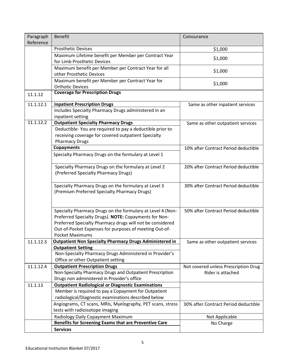| Paragraph<br>Reference | <b>Benefit</b>                                                                                                      | Coinsurance                          |
|------------------------|---------------------------------------------------------------------------------------------------------------------|--------------------------------------|
|                        | <b>Prosthetic Devices</b>                                                                                           | \$1,000                              |
|                        | Maximum Lifetime benefit per Member per Contract Year                                                               | \$1,000                              |
|                        | for Limb Prosthetic Devices                                                                                         |                                      |
|                        | Maximum benefit per Member per Contract Year for all                                                                | \$1,000                              |
|                        | other Prosthetic Devices                                                                                            |                                      |
|                        | Maximum benefit per Member per Contract Year for<br><b>Orthotic Devices</b>                                         | \$1,000                              |
|                        | <b>Coverage for Prescription Drugs</b>                                                                              |                                      |
| 11.1.12                |                                                                                                                     |                                      |
| 11.1.12.1              | <b>Inpatient Prescription Drugs</b>                                                                                 | Same as other inpatient services     |
|                        | Includes Specialty Pharmacy Drugs administered in an                                                                |                                      |
|                        | inpatient setting                                                                                                   |                                      |
| 11.1.12.2              | <b>Outpatient Specialty Pharmacy Drugs</b>                                                                          | Same as other outpatient services    |
|                        | Deductible-You are required to pay a deductible prior to                                                            |                                      |
|                        | receiving coverage for covered outpatient Specialty<br><b>Pharmacy Drugs</b>                                        |                                      |
|                        | Copayments                                                                                                          | 10% after Contract Period deductible |
|                        | Specialty Pharmacy Drugs on the formulary at Level 1                                                                |                                      |
|                        |                                                                                                                     |                                      |
|                        | Specialty Pharmacy Drugs on the formulary at Level 2                                                                | 20% after Contract Period deductible |
|                        | (Preferred Specialty Pharmacy Drugs)                                                                                |                                      |
|                        |                                                                                                                     |                                      |
|                        | Specialty Pharmacy Drugs on the formulary at Level 3                                                                | 30% after Contract Period deductible |
|                        | (Premium Preferred Specialty Pharmacy Drugs)                                                                        |                                      |
|                        |                                                                                                                     |                                      |
|                        |                                                                                                                     | 50% after Contract Period deductible |
|                        | Specialty Pharmacy Drugs on the formulary at Level 4 (Non-<br>Preferred Specialty Drugs). NOTE: Copayments for Non- |                                      |
|                        | Preferred Specialty Pharmacy drugs will not be considered                                                           |                                      |
|                        | Out-of-Pocket Expenses for purposes of meeting Out-of-                                                              |                                      |
|                        | <b>Pocket Maximums</b>                                                                                              |                                      |
| 11.1.12.3              | <b>Outpatient Non Specialty Pharmacy Drugs Administered in</b>                                                      | Same as other outpatient services    |
|                        | <b>Outpatient Setting</b>                                                                                           |                                      |
|                        | Non-Specialty Pharmacy Drugs Administered in Provider's                                                             |                                      |
|                        | Office or other Outpatient setting                                                                                  |                                      |
| 11.1.12.4              | <b>Outpatient Prescription Drugs</b>                                                                                | Not covered unless Prescription Drug |
|                        | Non-Specialty Pharmacy Drugs and Outpatient Prescription                                                            | Rider is attached                    |
|                        | Drugs non administered in Provider's office                                                                         |                                      |
| 11.1.13                | <b>Outpatient Radiological or Diagnostic Examinations</b><br>Member is required to pay a Copayment for Outpatient   |                                      |
|                        | radiological/Diagnostic examinations described below                                                                |                                      |
|                        | Angiograms, CT scans, MRIs, Myelography, PET scans, stress                                                          | 30% after Contract Period deductible |
|                        | tests with radioisotope imaging                                                                                     |                                      |
|                        | Radiology Daily Copayment Maximum                                                                                   | Not Applicable                       |
|                        | Benefits for Screening Exams that are Preventive Care                                                               | No Charge                            |
|                        | <b>Services</b>                                                                                                     |                                      |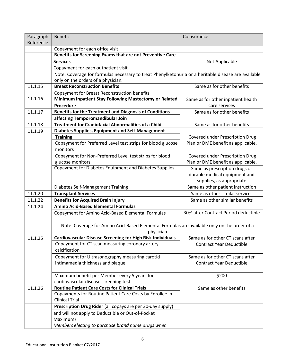| Paragraph<br>Reference | <b>Benefit</b>                                                                                      | Coinsurance                            |
|------------------------|-----------------------------------------------------------------------------------------------------|----------------------------------------|
|                        | Copayment for each office visit                                                                     |                                        |
|                        | Benefits for Screening Exams that are not Preventive Care                                           |                                        |
|                        | <b>Services</b>                                                                                     | Not Applicable                         |
|                        | Copayment for each outpatient visit                                                                 |                                        |
|                        | Note: Coverage for formulas necessary to treat Phenylketonuria or a heritable disease are available |                                        |
|                        | only on the orders of a physician.                                                                  |                                        |
| 11.1.15                | <b>Breast Reconstruction Benefits</b>                                                               | Same as for other benefits             |
|                        | Copayment for Breast Reconstruction benefits                                                        |                                        |
| 11.1.16                | Minimum Inpatient Stay Following Mastectomy or Related                                              | Same as for other inpatient health     |
|                        | Procedure                                                                                           | care services                          |
| 11.1.17                | <b>Benefits for the Treatment and Diagnosis of Conditions</b>                                       | Same as for other benefits             |
|                        | affecting Temporomandibular Join                                                                    |                                        |
| 11.1.18                | <b>Treatment for Craniofacial Abnormalities of a Child</b>                                          | Same as for other benefits             |
| 11.1.19                | <b>Diabetes Supplies, Equipment and Self-Management</b>                                             |                                        |
|                        | <b>Training</b>                                                                                     | Covered under Prescription Drug        |
|                        | Copayment for Preferred Level test strips for blood glucose                                         | Plan or DME benefit as applicable.     |
|                        | monitors                                                                                            |                                        |
|                        | Copayment for Non-Preferred Level test strips for blood                                             | <b>Covered under Prescription Drug</b> |
|                        | glucose monitors                                                                                    | Plan or DME benefit as applicable.     |
|                        | Copayment for Diabetes Equipment and Diabetes Supplies                                              | Same as prescription drugs or          |
|                        |                                                                                                     | durable medical equipment and          |
|                        |                                                                                                     | supplies, as appropriate               |
|                        | Diabetes Self-Management Training                                                                   | Same as other patient instruction      |
| 11.1.20                | <b>Transplant Services</b>                                                                          | Same as other similar services         |
| 11.1.22                | <b>Benefits for Acquired Brain Injury</b>                                                           | Same as other similar benefits         |
| 11.1.24                | <b>Amino Acid-Based Elemental Formulas</b>                                                          |                                        |
|                        | Copayment for Amino Acid-Based Elemental Formulas                                                   | 30% after Contract Period deductible   |
|                        | Note: Coverage for Amino Acid-Based Elemental Formulas are available only on the order of a         |                                        |
|                        | physician                                                                                           |                                        |
| 11.1.25                | <b>Cardiovascular Disease Screening for High Risk Individuals</b>                                   | Same as for other CT scans after       |
|                        | Copayment for CT scan measuring coronary artery                                                     | <b>Contract Year Deductible</b>        |
|                        | calcification                                                                                       |                                        |
|                        | Copayment for Ultrasonography measuring carotid                                                     | Same as for other CT scans after       |
|                        | intimamedia thickness and plaque                                                                    | <b>Contract Year Deductible</b>        |
|                        | Maximum benefit per Member every 5 years for                                                        | \$200                                  |
|                        | cardiovascular disease screening test                                                               |                                        |
| 11.1.26                | <b>Routine Patient Care Costs for Clinical Trials</b>                                               | Same as other benefits                 |
|                        | Copayments for Routine Patient Care Costs by Enrollee in                                            |                                        |
|                        | <b>Clinical Trial</b>                                                                               |                                        |
|                        | Prescription Drug Rider (all copays are per 30-day supply)                                          |                                        |
|                        | and will not apply to Deductible or Out-of-Pocket                                                   |                                        |
|                        | Maximum)                                                                                            |                                        |
|                        | Members electing to purchase brand name drugs when                                                  |                                        |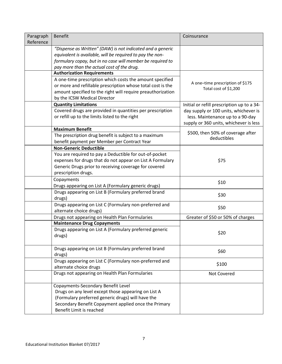| Paragraph | <b>Benefit</b>                                              | Coinsurance                                |
|-----------|-------------------------------------------------------------|--------------------------------------------|
| Reference |                                                             |                                            |
|           | "Dispense as Written" (DAW) is not indicated and a generic  |                                            |
|           | equivalent is available, will be required to pay the non-   |                                            |
|           | formulary copay, but in no case will member be required to  |                                            |
|           | pay more than the actual cost of the drug.                  |                                            |
|           | <b>Authorization Requirements</b>                           |                                            |
|           | A one-time prescription which costs the amount specified    | A one-time prescription of \$175           |
|           | or more and refillable prescription whose total cost is the | Total cost of \$1,200                      |
|           | amount specified to the right will require preauthorization |                                            |
|           | by the ICSW Medical Director                                |                                            |
|           | <b>Quantity Limitations</b>                                 | Initial or refill prescription up to a 34- |
|           | Covered drugs are provided in quantities per prescription   | day supply or 100 units, whichever is      |
|           | or refill up to the limits listed to the right              | less. Maintenance up to a 90-day           |
|           |                                                             | supply or 360 units, whichever is less     |
|           | <b>Maximum Benefit</b>                                      | \$500, then 50% of coverage after          |
|           | The prescription drug benefit is subject to a maximum       | deductibles                                |
|           | benefit payment per Member per Contract Year                |                                            |
|           | <b>Non-Generic Deductible</b>                               |                                            |
|           | You are required to pay a Deductible for out-of-pocket      |                                            |
|           | expenses for drugs that do not appear on List A Formulary   | \$75                                       |
|           | Generic Drugs prior to receiving coverage for covered       |                                            |
|           | prescription drugs.                                         |                                            |
|           | Copayments                                                  | \$10                                       |
|           | Drugs appearing on List A (Formulary generic drugs)         |                                            |
|           | Drugs appearing on List B (Formulary preferred brand        | \$30                                       |
|           | drugs)                                                      |                                            |
|           | Drugs appearing on List C (Formulary non-preferred and      | \$50                                       |
|           | alternate choice drugs)                                     |                                            |
|           | Drugs not appearing on Health Plan Formularies              | Greater of \$50 or 50% of charges          |
|           | <b>Maintenance Drug Copayments</b>                          |                                            |
|           | Drugs appearing on List A (Formulary preferred generic      | \$20                                       |
|           | drugs)                                                      |                                            |
|           |                                                             |                                            |
|           | Drugs appearing on List B (Formulary preferred brand        | \$60                                       |
|           | drugs)                                                      |                                            |
|           | Drugs appearing on List C (Formulary non-preferred and      | \$100                                      |
|           | alternate choice drugs                                      |                                            |
|           | Drugs not appearing on Health Plan Formularies              | Not Covered                                |
|           | Copayments-Secondary Benefit Level                          |                                            |
|           | Drugs on any level except those appearing on List A         |                                            |
|           | (Formulary preferred generic drugs) will have the           |                                            |
|           | Secondary Benefit Copayment applied once the Primary        |                                            |
|           | Benefit Limit is reached                                    |                                            |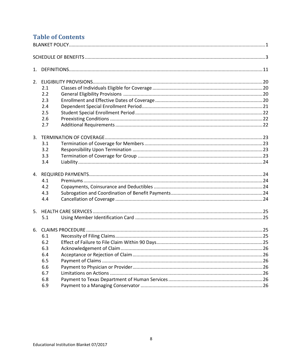# **Table of Contents DLANKET DOLLOV**

| 2.1 |  |  |
|-----|--|--|
| 2.2 |  |  |
| 2.3 |  |  |
| 2.4 |  |  |
| 2.5 |  |  |
| 2.6 |  |  |
| 2.7 |  |  |
|     |  |  |
| 3.1 |  |  |
| 3.2 |  |  |
| 3.3 |  |  |
| 3.4 |  |  |
|     |  |  |
| 4.1 |  |  |
| 4.2 |  |  |
| 4.3 |  |  |
| 4.4 |  |  |
|     |  |  |
| 5.1 |  |  |
|     |  |  |
| 6.1 |  |  |
| 6.2 |  |  |
| 6.3 |  |  |
| 6.4 |  |  |
| 6.5 |  |  |
| 6.6 |  |  |
| 6.7 |  |  |
| 6.8 |  |  |
| 6.9 |  |  |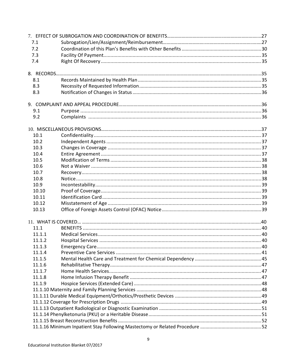| 7.1    |  |
|--------|--|
| 7.2    |  |
| 7.3    |  |
| 7.4    |  |
|        |  |
|        |  |
| 8.1    |  |
| 8.3    |  |
| 8.3    |  |
|        |  |
| 9.1    |  |
| 9.2    |  |
|        |  |
| 10.1   |  |
| 10.2   |  |
| 10.3   |  |
| 10.4   |  |
| 10.5   |  |
| 10.6   |  |
| 10.7   |  |
| 10.8   |  |
| 10.9   |  |
| 10.10  |  |
| 10.11  |  |
| 10.12  |  |
| 10.13  |  |
|        |  |
| 11.1   |  |
| 11.1.1 |  |
| 11.1.2 |  |
| 11.1.3 |  |
| 11.1.4 |  |
| 11.1.5 |  |
| 11.1.6 |  |
| 11.1.7 |  |
| 11.1.8 |  |
| 11.1.9 |  |
|        |  |
|        |  |
|        |  |
|        |  |
|        |  |
|        |  |
|        |  |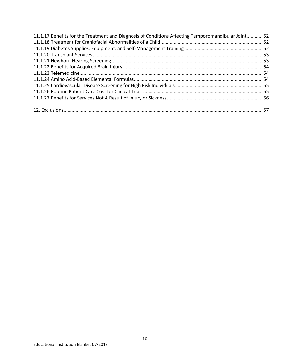| 11.1.17 Benefits for the Treatment and Diagnosis of Conditions Affecting Temporomandibular Joint 52 |  |
|-----------------------------------------------------------------------------------------------------|--|
|                                                                                                     |  |
|                                                                                                     |  |
|                                                                                                     |  |
|                                                                                                     |  |
|                                                                                                     |  |
|                                                                                                     |  |
|                                                                                                     |  |
|                                                                                                     |  |
|                                                                                                     |  |
|                                                                                                     |  |
|                                                                                                     |  |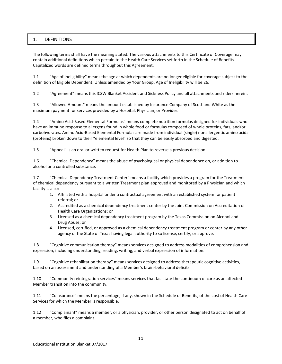# 1. DEFINITIONS

The following terms shall have the meaning stated. The various attachments to this Certificate of Coverage may contain additional definitions which pertain to the Health Care Services set forth in the Schedule of Benefits. Capitalized words are defined terms throughout this Agreement.

1.1 "Age of Ineligibility" means the age at which dependents are no longer eligible for coverage subject to the definition of Eligible Dependent. Unless amended by Your Group, Age of Ineligibility will be 26.

1.2 "Agreement" means this ICSW Blanket Accident and Sickness Policy and all attachments and riders herein.

1.3 "Allowed Amount" means the amount established by Insurance Company of Scott and White as the maximum payment for services provided by a Hospital, Physician, or Provider.

1.4 "Amino Acid-Based Elemental Formulas" means complete nutrition formulas designed for individuals who have an immune response to allergens found in whole food or formulas composed of whole proteins, fats, and/or carbohydrates. Amino Acid-Based Elemental Formulas are made from individual (single) nonallergentic amino acids (proteins) broken down to their "elemental level" so that they can be easily absorbed and digested.

1.5 "Appeal" is an oral or written request for Health Plan to reverse a previous decision.

1.6 "Chemical Dependency" means the abuse of psychological or physical dependence on, or addition to alcohol or a controlled substance.

1.7 "Chemical Dependency Treatment Center" means a facility which provides a program for the Treatment of chemical dependency pursuant to a written Treatment plan approved and monitored by a Physician and which facility is also:

- 1. Affiliated with a hospital under a contractual agreement with an established system for patient referral; or
- 2. Accredited as a chemical dependency treatment center by the Joint Commission on Accreditation of Health Care Organizations; or
- 3. Licensed as a chemical dependency treatment program by the Texas Commission on Alcohol and Drug Abuse; or
- 4. Licensed, certified, or approved as a chemical dependency treatment program or center by any other agency of the State of Texas having legal authority to so license, certify, or approve.

1.8 "Cognitive communication therapy" means services designed to address modalities of comprehension and expression, including understanding, reading, writing, and verbal expression of information.

1.9 "Cognitive rehabilitation therapy" means services designed to address therapeutic cognitive activities, based on an assessment and understanding of a Member's brain-behavioral deficits.

1.10 "Community reintegration services" means services that facilitate the continuum of care as an affected Member transition into the community.

1.11 "Coinsurance" means the percentage, if any, shown in the Schedule of Benefits, of the cost of Health Care Services for which the Member is responsible.

1.12 "Complainant" means a member, or a physician, provider, or other person designated to act on behalf of a member, who files a complaint.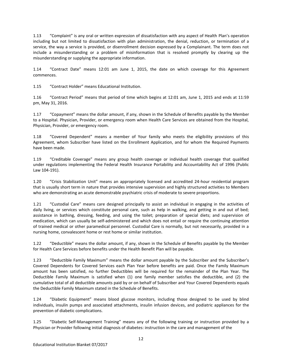1.13 "Complaint" is any oral or written expression of dissatisfaction with any aspect of Health Plan's operation including but not limited to dissatisfaction with plan administration, the denial, reduction, or termination of a service, the way a service is provided, or disenrollment decision expressed by a Complainant. The term does not include a misunderstanding or a problem of misinformation that is resolved promptly by clearing up the misunderstanding or supplying the appropriate information.

1.14 "Contract Date" means 12:01 am June 1, 2015, the date on which coverage for this Agreement commences.

1.15 "Contract Holder" means Educational Institution.

1.16 "Contract Period" means that period of time which begins at 12:01 am, June 1, 2015 and ends at 11:59 pm, May 31, 2016.

1.17 "Copayment" means the dollar amount, if any, shown in the Schedule of Benefits payable by the Member to a Hospital. Physician, Provider, or emergency room when Health Care Services are obtained from the Hospital, Physician, Provider, or emergency room.

1.18 "Covered Dependent" means a member of Your family who meets the eligibility provisions of this Agreement, whom Subscriber have listed on the Enrollment Application, and for whom the Required Payments have been made.

1.19 "Creditable Coverage" means any group health coverage or individual health coverage that qualified under regulations implementing the Federal Health Insurance Portability and Accountability Act of 1996 (Public Law 104-191).

1.20 "Crisis Stabilization Unit" means an appropriately licensed and accredited 24-hour residential program that is usually short term in nature that provides intensive supervision and highly structured activities to Members who are demonstrating an acute demonstrable psychiatric crisis of moderate to severe proportions.

1.21 "Custodial Care" means care designed principally to assist an individual in engaging in the activities of daily living, or services which constitute personal care, such as help in walking, and getting in and out of bed; assistance in bathing, dressing, feeding, and using the toilet; preparation of special diets; and supervision of medication, which can usually be self-administered and which does not entail or require the continuing attention of trained medical or other paramedical personnel. Custodial Care is normally, but not necessarily, provided in a nursing home, convalescent home or rest home or similar institution.

1.22 "Deductible" means the dollar amount, if any, shown in the Schedule of Benefits payable by the Member for Health Care Services before benefits under the Health Benefit Plan will be payable.

1.23 "Deductible Family Maximum" means the dollar amount payable by the Subscriber and the Subscriber's Covered Dependents for Covered Services each Plan Year before benefits are paid. Once the Family Maximum amount has been satisfied, no further Deductibles will be required for the remainder of the Plan Year. The Deductible Family Maximum is satisfied when (1) one family member satisfies the deductible, and (2) the cumulative total of all deductible amounts paid by or on behalf of Subscriber and Your Covered Dependents equals the Deductible Family Maximum stated in the Schedule of Benefits.

1.24 "Diabetic Equipment" means blood glucose monitors, including those designed to be used by blind individuals, insulin pumps and associated attachments, insulin infusion devices, and podiatric appliances for the prevention of diabetic complications.

1.25 "Diabetic Self-Management Training" means any of the following training or instruction provided by a Physician or Provider following initial diagnosis of diabetes: instruction in the care and management of the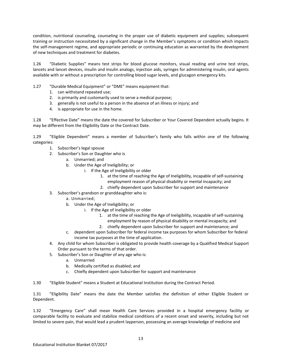condition, nutritional counseling, counseling in the proper use of diabetic equipment and supplies; subsequent training or instruction necessitated by a significant change in the Member's symptoms or condition which impacts the self-management regime, and appropriate periodic or continuing education as warranted by the development of new techniques and treatment for diabetes.

1.26 "Diabetic Supplies" means test strips for blood glucose monitors, visual reading and urine test strips, lancets and lancet devices, insulin and insulin analogs, injection aids, syringes for administering insulin, oral agents available with or without a prescription for controlling blood sugar levels, and glucagon emergency kits.

- 1.27 "Durable Medical Equipment" or "DME" means equipment that:
	- 1. can withstand repeated use;
	- 2. is primarily and customarily used to serve a medical purpose;
	- 3. generally is not useful to a person in the absence of an illness or injury; and
	- 4. is appropriate for use in the home.

1.28 "Effective Date" means the date the covered for Subscriber or Your Covered Dependent actually begins. It may be different from the Eligibility Date or the Contract Date.

1.29 "Eligible Dependent" means a member of Subscriber's family who falls within one of the following categories:

- 1. Subscriber's legal spouse
- 2. Subscriber's Son or Daughter who is
	- a. Unmarried; and
	- b. Under the Age of Ineligibility; or
		- i. If the Age of Ineligibility or older
			- 1. at the time of reaching the Age of Ineligibility, incapable of self-sustaining employment reason of physical disability or mental incapacity; and
			- 2. chiefly dependent upon Subscriber for support and maintenance
- 3. Subscriber's grandson or granddaughter who is:
	- a. Unmarried;
	- b. Under the Age of Ineligibility; or
		- i. If the Age of Ineligibility or older
			- 1. at the time of reaching the Age of Ineligibility, incapable of self-sustaining employment by reason of physical disability or mental incapacity; and
			- 2. chiefly dependent upon Subscriber for support and maintenance; and
	- c. dependent upon Subscriber for federal income tax purposes for whom Subscriber for federal income tax purposes at the time of application.
- 4. Any child for whom Subscriber is obligated to provide health coverage by a Qualified Medical Support Order pursuant to the terms of that order.
- 5. Subscriber's Son or Daughter of any age who is:
	- a. Unmarried
	- b. Medically certified as disabled; and
	- c. Chiefly dependent upon Subscriber for support and maintenance

1.30 "Eligible Student" means a Student at Educational Institution during the Contract Period.

1.31 "Eligibility Date" means the date the Member satisfies the definition of either Eligible Student or Dependent.

1.32 "Emergency Care" shall mean Health Care Services provided in a hospital emergency facility or comparable facility to evaluate and stabilize medical conditions of a recent onset and severity, including but not limited to severe pain, that would lead a prudent layperson, possessing an average knowledge of medicine and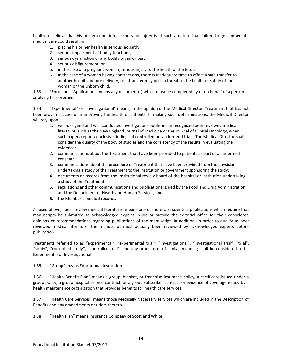health to believe that his or her condition, sickness, or injury is of such a nature that failure to get immediate medical care could result in:

- 1. placing his or her health in serious jeopardy
- 2. serious impairment of bodily functions;
- 3. serious dysfunction of any bodily organ or part;
- 4. serious disfigurement; or
- 5. in the case of a pregnant woman, serious injury to the health of the fetus.
- 6. in the case of a woman having contractions, there is inadequate time to effect a safe transfer to another hospital before delivery, or if transfer may pose a threat to the health or safety of the woman or the unborn child.

1.33 "Enrollment Application" means any document(s) which must be completed by or on behalf of a person in applying for coverage.

1.34 "Experimental" or "Investigational" means, in the opinion of the Medical Director, Treatment that has not been proven successful in improving the health of patients. In making such determinations, the Medical Director will rely upon:

- 1. well-designed and well conducted investigations published in recognized peer reviewed medical literature, such as the New England Journal of Medicine or the Journal of Clinical Oncology, when such papers report conclusive findings of controlled or randomized trials. The Medical Director shall consider the quality of the body of studies and the consistency of the results in evaluating the evidence;
- 2. communications about the Treatment that have been provided to patients as part of an informed consent;
- 3. communications about the procedure or Treatment that have been provided from the physician undertaking a study of the Treatment to the institution or government sponsoring the study;
- 4. documents or records from the institutional review board of the hospital or institution undertaking a study of the Treatment;
- 5. regulations and other communications and publications issued by the Food and Drug Administration and the Department of Health and Human Services; and
- 6. the Member's medical records.

As used above, "peer review medical literature" means one or more U.S. scientific publications which require that manuscripts be submitted to acknowledged experts inside or outside the editorial office for their considered opinions or recommendations regarding publications of the manuscript. In addition, in order to qualify as peer reviewed medical literature, the manuscript must actually been reviewed by acknowledged experts before publication.

Treatments referred to as "experimental", "experimental trial", "investigational", "investigational trial", "trial", "study", "controlled study", "controlled trial", and any other term of similar meaning shall be considered to be Experimental or Investigational.

1.35 "Group" means Educational Institution.

1.36 "Health Benefit Plan" means a group, blanket, or franchise insurance policy, a certificate issued under a group policy, a group hospital service contract, or a group subscriber contract or evidence of coverage issued by a health maintenance organization that provides benefits for health care services.

1.37 "Health Care Services" means those Medically Necessary services which are included in the Description of Benefits and any amendments or riders thereto.

1.38 "Health Plan" means Insurance Company of Scott and White.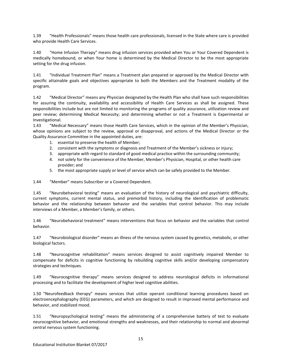1.39 "Health Professionals" means those health care professionals, licensed in the State where care is provided who provide Health Care Services.

1.40 "Home Infusion Therapy" means drug infusion services provided when You or Your Covered Dependent is medically homebound, or when Your home is determined by the Medical Director to be the most appropriate setting for the drug infusion.

1.41 "Individual Treatment Plan" means a Treatment plan prepared or approved by the Medical Director with specific attainable goals and objectives appropriate to both the Members and the Treatment modality of the program.

1.42 "Medical Director" means any Physician designated by the Health Plan who shall have such responsibilities for assuring the continuity, availability and accessibility of Health Care Services as shall be assigned. These responsibilities include but are not limited to monitoring the programs of quality assurance, utilization review and peer review; determining Medical Necessity; and determining whether or not a Treatment is Experimental or Investigational.

1.43 "Medical Necessary" means those Health Care Services, which in the opinion of the Member's Physician, whose opinions are subject to the review, approval or disapproval, and actions of the Medical Director or the Quality Assurance Committee in the appointed duties, are:

- 1. essential to preserve the health of Member;
- 2. consistent with the symptoms or diagnosis and Treatment of the Member's sickness or injury;
- 3. appropriate with regard to standard of good medical practice within the surrounding community;
- 4. not solely for the convenience of the Member, Member's Physician, Hospital, or other health care provider; and
- 5. the most appropriate supply or level of service which can be safely provided to the Member.

1.44 "Member" means Subscriber or a Covered Dependent.

1.45 "Neurobehavioral testing" means an evaluation of the history of neurological and psychiatric difficulty, current symptoms, current mental status, and premorbid history, including the identification of problematic behavior and the relationship between behavior and the variables that control behavior. This may include interviews of a Member, a Member's family, or others.

1.46 "Neurobehavioral treatment" means interventions that focus on behavior and the variables that control behavior.

1.47 "Neurobiological disorder" means an illness of the nervous system caused by genetics, metabolic, or other biological factors.

1.48 "Neurocognitive rehabilitation" means services designed to assist cognitively impaired Member to compensate for deficits in cognitive functioning by rebuilding cognitive skills and/or developing compensatory strategies and techniques.

1.49 "Neurocognitive therapy" means services designed to address neurological deficits in informational processing and to facilitate the development of higher level cognitive abilities.

1.50 "Neurofeedback therapy" means services that utilize operant conditional learning procedures based on electroencephalography (EEG) parameters, and which are designed to result in improved mental performance and behavior, and stabilized mood.

1.51 "Neuropsychological testing" means the administering of a comprehensive battery of test to evaluate neurocognitive behavior, and emotional strengths and weaknesses, and their relationship to normal and abnormal central nervous system functioning.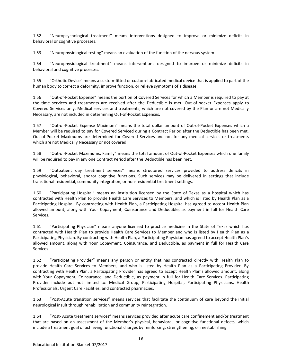1.52 "Neuropsychological treatment" means interventions designed to improve or minimize deficits in behavioral or cognitive processes.

1.53 "Neurophysiological testing" means an evaluation of the function of the nervous system.

1.54 "Neurophysiological treatment" means interventions designed to improve or minimize deficits in behavioral and cognitive processes.

1.55 "Orthotic Device" means a custom-fitted or custom-fabricated medical device that is applied to part of the human body to correct a deformity, improve function, or relieve symptoms of a disease.

1.56 "Out-of-Pocket Expense" means the portion of Covered Services for which a Member is required to pay at the time services and treatments are received after the Deductible is met. Out-of-pocket Expenses apply to Covered Services only. Medical services and treatments, which are not covered by the Plan or are not Medically Necessary, are not included in determining Out-of-Pocket Expenses.

1.57 "Out-of-Pocket Expense Maximum" means the total dollar amount of Out-of-Pocket Expenses which a Member will be required to pay for Covered Serviced during a Contract Period after the Deductible has been met. Out-of-Pocket Maximums are determined for Covered Services and not for any medical services or treatments which are not Medically Necessary or not covered.

1.58 "Out-of-Pocket Maximums, Family" means the total amount of Out-of-Pocket Expenses which one family will be required to pay in any one Contract Period after the Deductible has been met.

1.59 "Outpatient day treatment services" means structured services provided to address deficits in physiological, behavioral, and/or cognitive functions. Such services may be delivered in settings that include transitional residential, community integration, or non-residential treatment settings.

1.60 "Participating Hospital" means an institution licensed by the State of Texas as a hospital which has contracted with Health Plan to provide Health Care Services to Members, and which is listed by Health Plan as a Participating Hospital. By contracting with Health Plan, a Participating Hospital has agreed to accept Health Plan allowed amount, along with Your Copayment, Coinsurance and Deductible, as payment in full for Health Care Services.

1.61 "Participating Physician" means anyone licensed to practice medicine in the State of Texas which has contracted with Health Plan to provide Health Care Services to Member and who is listed by Health Plan as a Participating Physician. By contracting with Health Plan, a Participating Physician has agreed to accept Health Plan's allowed amount, along with Your Copayment, Coinsurance, and Deductible, as payment in full for Health Care Services.

1.62 "Participating Provider" means any person or entity that has contracted directly with Health Plan to provide Health Care Services to Members, and who is listed by Health Plan as a Participating Provider. By contracting with Health Plan, a Participating Provider has agreed to accept Health Plan's allowed amount, along with Your Copayment, Coinsurance, and Deductible, as payment in full for Health Care Services. Participating Provider include but not limited to: Medical Group, Participating Hospital, Participating Physicians, Health Professionals, Urgent Care Facilities, and contracted pharmacies.

1.63 "Post-Acute transition services" means services that facilitate the continuum of care beyond the initial neurological insult through rehabilitation and community reintegration.

1.64 "Post- Acute treatment services" means services provided after acute care confinement and/or treatment that are based on an assessment of the Member's physical, behavioral, or cognitive functional defects, which include a treatment goal of achieving functional charges by reinforcing, strengthening, or reestablishing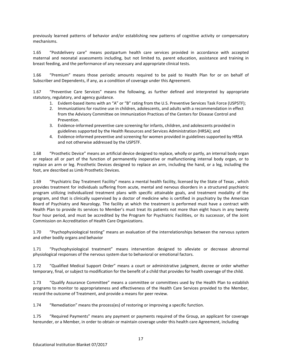previously learned patterns of behavior and/or establishing new patterns of cognitive activity or compensatory mechanisms.

1.65 "Postdelivery care" means postpartum health care services provided in accordance with accepted maternal and neonatal assessments including, but not limited to, parent education, assistance and training in breast feeding, and the performance of any necessary and appropriate clinical tests.

1.66 "Premium" means those periodic amounts required to be paid to Health Plan for or on behalf of Subscriber and Dependents, if any, as a condition of coverage under this Agreement.

1.67 "Preventive Care Services" means the following, as further defined and interpreted by appropriate statutory, regulatory, and agency guidance.

- 1. Evident-based items with an "A" or "B" rating from the U.S. Preventive Services Task Force (USPSTF);
- 2. Immunizations for routine use in children, adolescents, and adults with a recommendation in effect from the Advisory Committee on Immunization Practices of the Centers for Disease Control and Prevention.
- 3. Evidence-informed preventive care screening for infants, children, and adolescents provided in guidelines supported by the Health Resources and Services Administration (HRSA); and
- 4. Evidence-informed preventive and screening for women provided in guidelines supported by HRSA and not otherwise addressed by the USPSTF.

1.68 "Prosthetic Device" means an artificial device designed to replace, wholly or partly, an internal body organ or replace all or part of the function of permanently inoperative or malfunctioning internal body organ, or to replace an arm or leg. Prosthetic Devices designed to replace an arm, including the hand, or a leg, including the foot, are described as Limb Prosthetic Devices.

1.69 "Psychiatric Day Treatment Facility" means a mental health facility, licensed by the State of Texas , which provides treatment for individuals suffering from acute, mental and nervous disorders in a structured psychiatric program utilizing individualized treatment plans with specific attainable goals, and treatment modality of the program, and that is clinically supervised by a doctor of medicine who is certified in psychiatry by the American Board of Psychiatry and Neurology. The facility at which the treatment is performed must have a contract with Health Plan to provide its services to Member's must treat its patients not more than eight hours in any twenty four hour period, and must be accredited by the Program for Psychiatric Facilities, or its successor, of the Joint Commission on Accreditation of Health Care Organizations.

1.70 "Psychophysiological testing" means an evaluation of the interrelationships between the nervous system and other bodily organs and behavior

1.71 "Psychophysiological treatment" means intervention designed to alleviate or decrease abnormal physiological responses of the nervous system due to behavioral or emotional factors.

1.72 "Qualified Medical Support Order" means a court or administrative judgment, decree or order whether temporary, final, or subject to modification for the benefit of a child that provides for health coverage of the child.

1.73 "Qualify Assurance Committee" means a committee or committees used by the Health Plan to establish programs to monitor to appropriateness and effectiveness of the Health Care Services provided to the Member, record the outcome of Treatment, and provide a means for peer review.

1.74 "Remediation" means the process(es) of restoring or improving a specific function.

1.75 "Required Payments" means any payment or payments required of the Group, an applicant for coverage hereunder, or a Member, in order to obtain or maintain coverage under this health care Agreement, including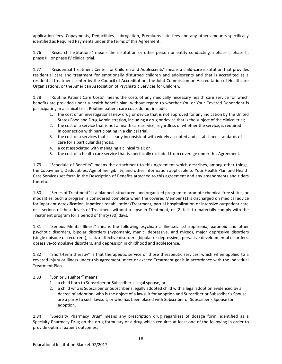application fees. Copayments, Deductibles, subrogation, Premiums, late fees and any other amounts specifically identified as Required Payments under the terms of this Agreement.

1.76 "Research Institutions" means the institution or other person or entity conducting a phase I, phase II, phase III, or phase IV clinical trial.

1.77 "Residential Treatment Center for Children and Adolescents" means a child-care institution that provides residential care and treatment for emotionally disturbed children and adolescents and that is accredited as a residential treatment center by the Council of Accreditation, the Joint Commission on Accreditation of Healthcare Organizations, or the American Association of Psychiatric Services for Children.

1.78 "Routine Patient Care Costs" means the costs of any medically necessary health care service for which benefits are provided under a health benefit plan, without regard to whether You or Your Covered Dependent is participating in a clinical trial. Routine patient care costs do not include:

- 1. the cost of an investigational new drug or device that is not approved for any indication by the United States Food and Drug Administration, including a drug or device that is the subject of the clinical trial;
- 2. the cost of a service that is not a health care service, regardless of whether the service, is required in connection with participating in a clinical trial;
- 3. the cost of a services that is clearly inconsistent with widely accepted and established standards of care for a particular diagnosis;
- 4. a cost associated with managing a clinical trial; or
- 5. the cost of a health care service that is specifically excluded from coverage under this Agreement.

1.79 "Schedule of Benefits" means the attachment to this Agreement which describes, among other things, the Copayment, Deductibles, Age of Ineligibility, and other information applicable to Your Health Plan and Health Care Services set forth in the Description of Benefits attached to this agreement and any amendments and riders thereto.

1.80 "Series of Treatment" is a planned, structured, and organized program to promote chemical free status, or modalities. Such a program is considered complete when the covered Member (1) is discharged on medical advice for inpatient detoxification, inpatient rehabilitation/Treatment, partial hospitalization or intensive outpatient care or a serious of these levels of Treatment without a lapse in Treatment, or (2) fails to materially comply with the Treatment program for a period of thirty (30) days.

1.81 "Serious Mental Illness" means the following psychiatric illnesses: schizophrenia, paranoid and other psychotic disorders, bipolar disorders (hypomanic, manic, depressive, and mixed), major depressive disorders (single episode or recurrent), schizo-affective disorders (bipolar or depressive), pervasive developmental disorders, obsessive-compulsive disorders, and depression in childhood and adolescence.

1.82 "Short-term therapy" is that therapeutic service or those therapeutic services, which when applied to a covered injury or illness under this agreement, meet or exceed Treatment goals in accordance with the individual Treatment Plan.

## 1.83 "Son or Daughter" means

- 1. a child born to Subscriber or Subscriber's Legal spouse, or
- 2. a child who is Subscriber or Subscriber's legally adopted child with a legal adoption evidenced by a decree of adoption; who is the object of a lawsuit for adoption and Subscriber or Subscriber's Spouse are a party to such lawsuit; or who has been placed with Subscriber or Subscriber's Spouse for adoption.

1.84 "Specialty Pharmacy Drug" means any prescription drug regardless of dosage form, identified as a Specialty Pharmacy Drug on the drug formulary or a drug which requires at least one of the following in order to provide optimal patient outcomes: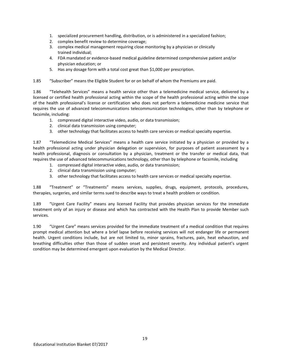- 1. specialized procurement handling, distribution, or is administered in a specialized fashion;
- 2. complex benefit review to determine coverage;
- 3. complex medical management requiring close monitoring by a physician or clinically trained individual;
- 4. FDA mandated or evidence-based medical guideline determined comprehensive patient and/or physician education; or
- 5. Has any dosage form with a total cost great than \$1,000 per prescription.

1.85 "Subscriber" means the Eligible Student for or on behalf of whom the Premiums are paid.

1.86 "Telehealth Services" means a health service other than a telemedicine medical service, delivered by a licensed or certified health professional acting within the scope of the health professional acting within the scope of the health professional's license or certification who does not perform a telemedicine medicine service that requires the use of advanced telecommunications telecommunication technologies, other than by telephone or facsimile, including:

- 1. compressed digital interactive video, audio, or data transmission;
- 2. clinical data transmission using computer;
- 3. other technology that facilitates access to health care services or medical specialty expertise.

1.87 "Telemedicine Medical Services" means a health care service initiated by a physician or provided by a health professional acting under physician delegation or supervision, for purposes of patient assessment by a health professional, diagnosis or consultation by a physician, treatment or the transfer or medical data, that requires the use of advanced telecommunications technology, other than by telephone or facsimile, including

- 1. compressed digital interactive video, audio, or data transmission;
- 2. clinical data transmission using computer;
- 3. other technology that facilitates access to health care services or medical specialty expertise.

1.88 "Treatment" or "Treatments" means services, supplies, drugs, equipment, protocols, procedures, therapies, surgeries, and similar terms sued to describe ways to treat a health problem or condition.

1.89 "Urgent Care Facility" means any licensed Facility that provides physician services for the immediate treatment only of an injury or disease and which has contracted with the Health Plan to provide Member such services.

1.90 "Urgent Care" means services provided for the immediate treatment of a medical condition that requires prompt medical attention but where a brief lapse before receiving services will not endanger life or permanent health. Urgent conditions include, but are not limited to, minor sprains, fractures, pain, heat exhaustion, and breathing difficulties other than those of sudden onset and persistent severity. Any individual patient's urgent condition may be determined emergent upon evaluation by the Medical Director.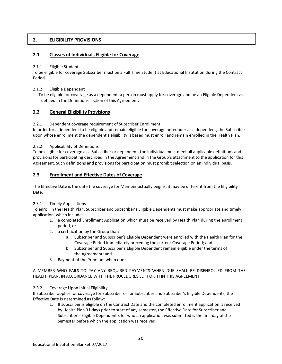# **2. ELIGIBILITY PROVISIONS**

# **2.1 Classes of Individuals Eligible for Coverage**

## 2.1.1 Eligible Students

To be eligible for coverage Subscriber must be a Full Time Student at Educational Institution during the Contract Period.

## 2.1.2 Eligible Dependent

To be eligible for coverage as a dependent, a person must apply for coverage and be an Eligible Dependent as defined in the Definitions section of this Agreement.

# **2.2 General Eligibility Provisions**

# 2.2.1 Dependent coverage requirement of Subscriber Enrollment

In order for a dependent to be eligible and remain eligible for coverage hereunder as a dependent, the Subscriber upon whose enrollment the dependent's eligibility is based must enroll and remain enrolled in the Health Plan.

# 2.2.2 Applicability of Definitions

To be eligible for coverage as a Subscriber or dependent, the individual must meet all applicable definitions and provisions for participating described in the Agreement and in the Group's attachment to the application for this Agreement. Such definitions and provisions for participation must prohibit selection on an individual basis.

# **2.3 Enrollment and Effective Dates of Coverage**

The Effective Date is the date the coverage for Member actually begins, it may be different from the Eligibility Date.

# 2.3.1 Timely Applications

To enroll in the Health Plan, Subscriber and Subscriber's Eligible Dependents must make appropriate and timely application, which includes:

- 1. a completed Enrollment Application which must be received by Health Plan during the enrollment period, or
- 2. a certification by the Group that:
	- a. Subscriber and Subscriber's Eligible Dependent were enrolled with the Health Plan for the Coverage Period immediately preceding the current Coverage Period; and
	- b. Subscriber and Subscriber's Eligible Dependent remain eligible under the terms of the Agreement; and
- 3. Payment of the Premium when due.

A MEMBER WHO FAILS TO PAY ANY REQUIRED PAYMENTS WHEN DUE SHALL BE DISENROLLED FROM THE HEALTH PLAN, IN ACCORDANCE WITH THE PROCEDURES SET FORTH IN THIS AGREEMENT.

## 2.3.2 Coverage Upon Initial Eligibility

If Subscriber applies for coverage for Subscriber or for Subscriber and Subscriber's Eligible Dependents, the Effective Date is determined as follow:

1. If subscriber is eligible on the Contract Date and the completed enrollment application is received by Health Plan 31 days prior to start of any semester, the Effective Date for Subscriber and Subscriber's Eligible Dependent's for who an application was submitted is the first day of the Semester before which the application was received.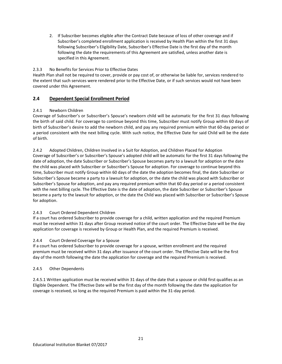2. If Subscriber becomes eligible after the Contract Date because of loss of other coverage and if Subscriber's completed enrollment application is received by Health Plan within the first 31 days following Subscriber's Eligibility Date, Subscriber's Effective Date is the first day of the month following the date the requirements of this Agreement are satisfied, unless another date is specified in this Agreement.

# 2.3.3 No Benefits for Services Prior to Effective Dates

Health Plan shall not be required to cover, provide or pay cost of, or otherwise be liable for, services rendered to the extent that such services were rendered prior to the Effective Date, or if such services would not have been covered under this Agreement.

# **2.4 Dependent Special Enrollment Period**

# 2.4.1 Newborn Children

Coverage of Subscriber's or Subscriber's Spouse's newborn child will be automatic for the first 31 days following the birth of said child. For coverage to continue beyond this time, Subscriber must notify Group within 60 days of birth of Subscriber's desire to add the newborn child, and pay any required premium within that 60-day period or a period consistent with the next billing cycle. With such notice, the Effective Date for said Child will be the date of birth.

2.4.2 Adopted Children, Children Involved in a Suit for Adoption, and Children Placed for Adoption Coverage of Subscriber's or Subscriber's Spouse's adopted child will be automatic for the first 31 days following the date of adoption, the date Subscriber or Subscriber's Spouse becomes party to a lawsuit for adoption or the date the child was placed with Subscriber or Subscriber's Spouse for adoption. For coverage to continue beyond this time, Subscriber must notify Group within 60 days of the date the adoption becomes final, the date Subscriber or Subscriber's Spouse became a party to a lawsuit for adoption, or the date the child was placed with Subscriber or Subscriber's Spouse for adoption, and pay any required premium within that 60 day period or a period consistent with the next billing cycle. The Effective Date is the date of adoption, the date Subscriber or Subscriber's Spouse became a party to the lawsuit for adoption, or the date the Child was placed with Subscriber or Subscriber's Spouse for adoption.

# 2.4.3 Court Ordered Dependent Children

If a court has ordered Subscriber to provide coverage for a child, written application and the required Premium must be received within 31 days after Group received notice of the court order. The Effective Date will be the day application for coverage is received by Group or Health Plan, and the required Premium is received.

## 2.4.4 Court Ordered Coverage for a Spouse

If a court has ordered Subscriber to provide coverage for a spouse, written enrollment and the required premium must be received within 31 days after issuance of the court order. The Effective Date will be the first day of the month following the date the application for coverage and the required Premium is received.

## 2.4.5 Other Dependents

2.4.5.1 Written application must be received within 31 days of the date that a spouse or child first qualifies as an Eligible Dependent. The Effective Date will be the first day of the month following the date the application for coverage is received, so long as the required Premium is paid within the 31-day period.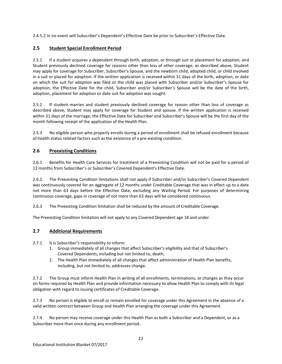2.4.5.2 In no event will Subscriber's Dependent's Effective Date be prior to Subscriber's Effective Date.

# **2.5 Student Special Enrollment Period**

2.5.1 If a student acquires a dependent through birth, adoption, or through suit or placement for adoption, and Student previously declined coverage for reasons other than loss of other coverage, as described above, Student may apply for coverage for Subscriber, Subscriber's Spouse, and the newborn child, adopted child, or child involved in a suit or placed for adoption. If the written application is received within 31 days of the birth, adoption, or date on which the suit for adoption was filed or the child was placed with Subscriber and/or Subscriber's Spouse for adoption, the Effective Date for the child, Subscriber and/or Subscriber's Spouse will be the date of the birth, adoption, placement for adoption or date suit for adoption was sought.

2.5.2 If student marries and student previously declined coverage for reason other than loss of coverage as described above, Student may apply for coverage for Student and spouse. If the written application is received within 31 days of the marriage, the Effective Date for Subscriber and Subscriber's Spouse will be the first day of the month following receipt of the application of the Health Plan.

2.5.3 No eligible person who properly enrolls during a period of enrollment shall be refused enrollment because of health status related factors such as the existence of a pre-existing condition.

# **2.6 Preexisting Conditions**

2.6.1 Benefits for Health Care Services for treatment of a Preexisting Condition will not be paid for a period of 12 months from Subscriber's or Subscriber's Covered Dependent's Effective Date.

2.6.2 The Preexisting Condition limitations shall not apply if Subscriber and/or Subscriber's Covered Dependent was continuously covered for an aggregate of 12 months under Creditable Coverage that was in effect up to a date not more than 63 days before the Effective Date, excluding any Waiting Period. For purposes of determining continuous coverage, gaps in coverage of not more than 63 days will be considered continuous.

2.6.3 The Preexisting Condition limitation shall be reduced by the amount of Creditable Coverage.

The Preexisting Condition limitation will not apply to any Covered Dependent age 18 and under.

# **2.7 Additional Requirements**

- 2.7.1 It is Subscriber's responsibility to inform:
	- 1. Group immediately of all changes that affect Subscriber's eligibility and that of Subscriber's Covered Dependents, including but not limited to, death;
	- 2. The Health Plan immediately of all changes that affect administration of Health Plan benefits, including, but not limited to, addresses change.

2.7.2 The Group must inform Health Plan in writing of all enrollments, terminations, or changes as they occur on forms required by Health Plan and provide information necessary to allow Health Plan to comply with its legal obligation with regard to issuing certificates of Creditable Coverage.

2.7.3 No person is eligible to enroll or remain enrolled for coverage under this Agreement in the absence of a valid written contract between Group and Health Plan arranging the coverage under this Agreement.

2.7.4 No person may receive coverage under this Health Plan as both a Subscriber and a Dependent, or as a Subscriber more than once during any enrollment period.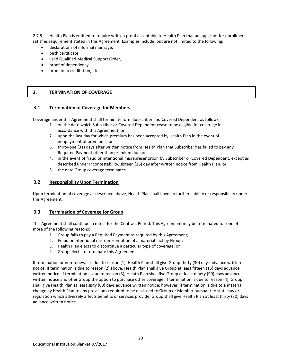2.7.5 Health Plan is entitled to require written proof acceptable to Health Plan that an applicant for enrollment satisfies requirement stated in this Agreement. Examples include, but are not limited to the following:

- declarations of informal marriage,
- birth certificate,
- valid Qualified Medical Support Order,
- proof of dependency,
- proof of accreditation, etc.

# **3. TERMINATION OF COVERAGE**

## **3.1 Termination of Coverage for Members**

Coverage under this Agreement shall terminate form Subscriber and Covered Dependent as follows

- 1. on the date which Subscriber or Covered Dependent cease to be eligible for coverage in accordance with this Agreement; or
- 2. upon the last day for which premium has been accepted by Health Plan in the event of nonpayment of premiums; or
- 3. thirty-one (31) days after written notice from Health Plan that Subscriber has failed to pay any Required Payment other than premium due; or
- 4. in the event of fraud or intentional misrepresentation by Subscriber or Covered Dependent, except as described under Incontestability, sixteen (16) day after written notice from Health Plan; or
- 5. the date Group coverage terminates.

# **3.2 Responsibility Upon Termination**

Upon termination of coverage as described above, Health Plan shall have no further liability or responsibility under this Agreement.

## **3.3 Termination of Coverage for Group**

This Agreement shall continue in effect for the Contract Period. This Agreement may be terminated for one of more of the following reasons:

- 1. Group fails to pay a Required Payment as required by this Agreement;
- 2. Fraud or intentional misrepresentation of a material fact by Group;
- 3. Health Plan elects to discontinue a particular type of coverage; or
- 4. Group elects to terminate this Agreement.

If termination or non-renewal is due to reason (1), Health Plan shall give Group thirty (30) days advance written notice. If termination is due to reason (2) above, Health Plan shall give Group at least fifteen (15) days advance written notice. If termination is due to reason (3), Helath Plan shall five Group at least ninety (90) days advance written notice and offer Group the option to purchase other coverage. If termination is due to reason (4), Group shall give Health Plan at least sixty (60) days advance written notice; however, if termination is due to a material change by Health Plan to any provisions required to be disclosed to Group or Member pursuant to state law or regulation which adversely affects benefits or services provide, Group shall give Health Plan at least thirty (30) days advance written notice.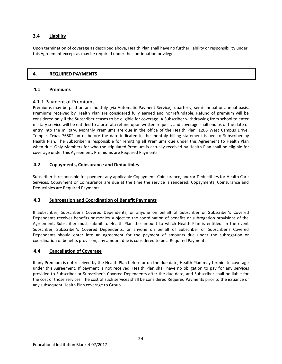# **3.4 Liability**

Upon termination of coverage as described above, Health Plan shall have no further liability or responsibility under this Agreement except as may be required under the continuation privileges.

# **4. REQUIRED PAYMENTS**

## **4.1 Premiums**

# 4.1.1 Payment of Premiums

Premiums may be paid on am monthly (via Automatic Payment Service), quarterly, semi-annual or annual basis. Premiums received by Health Plan are considered fully earned and nonrefundable. Refund of premium will be considered only if the Subscriber ceases to be eligible for coverage. A Subscriber withdrawing from school to enter military service will be entitled to a pro-rata refund upon written request, and coverage shall end as of the date of entry into the military. Monthly Premiums are due in the office of the Health Plan, 1206 West Campus Drive, Temple, Texas 76502 on or before the date indicated in the monthly billing statement issued to Subscriber by Health Plan. The Subscriber is responsible for remitting all Premiums due under this Agreement to Health Plan when due. Only Members for who the stipulated Premium is actually received by Health Plan shall be eligible for coverage under this Agreement, Premiums are Required Payments.

# **4.2 Copayments, Coinsurance and Deductibles**

Subscriber is responsible for payment any applicable Copayment, Coinsurance, and/or Deductibles for Health Care Services. Copayment or Coinsurance are due at the time the service is rendered. Copayments, Coinsurance and Deductibles are Required Payments.

## **4.3 Subrogation and Coordination of Benefit Payments**

If Subscriber, Subscriber's Covered Dependents, or anyone on behalf of Subscriber or Subscriber's Covered Dependents receives benefits or monies subject to the coordination of benefits or subrogation provisions of the Agreement, Subscriber must submit to Health Plan the amount to which Health Plan is entitled. In the event Subscriber, Subscriber's Covered Dependents, or anyone on behalf of Subscriber or Subscriber's Covered Dependents should enter into an agreement for the payment of amounts due under the subrogation or coordination of benefits provision, any amount due is considered to be a Required Payment.

## **4.4 Cancellation of Coverage**

If any Premium is not received by the Health Plan before or on the due date, Health Plan may terminate coverage under this Agreement. If payment is not received, Health Plan shall have no obligation to pay for any services provided to Subscriber or Subscriber's Covered Dependents after the due date, and Subscriber shall be liable for the cost of those services. The cost of such services shall be considered Required Payments prior to the issuance of any subsequent Health Plan coverage to Group.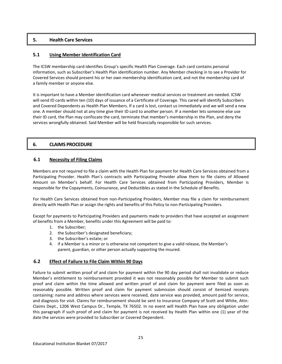# **5. Health Care Services**

# **5.1 Using Member Identification Card**

The ICSW membership card identifies Group's specific Health Plan Coverage. Each card contains personal information, such as Subscriber's Health Plan identification number. Any Member checking in to see a Provider for Covered Services should present his or her own membership identification card, and not the membership card of a family member or anyone else.

It is important to have a Member identification card whenever medical services or treatment are needed. ICSW will send ID cards within ten (10) days of issuance of a Certificate of Coverage. This cared will identify Subscribers and Covered Dependents as Health Plan Members. If a card is lost, contact us immediately and we will send a new one. A member should not at any time give their ID card to another person. IF a member lets someone else use their ID card, the Plan may confiscate the card, terminate that member's membership in the Plan, and deny the services wrongfully obtained. Said Member will be held financially responsible for such services.

# **6. CLAIMS PROCEDURE**

# **6.1 Necessity of Filing Claims**

Members are not required to file a claim with the Health Plan for payment for Health Care Services obtained from a Participating Provider. Health Plan's contracts with Participating Provider allow them to file claims of Allowed Amount on Member's behalf. For Health Care Services obtained from Participating Providers, Member is responsible for the Copayments, Coinsurance, and Deductibles as stated in the Schedule of Benefits.

For Health Care Services obtained from non-Participating Providers, Member may file a claim for reimbursement directly with Health Plan or assign the rights and benefits of this Policy to non-Participating Providers.

Except for payments to Participating Providers and payments made to providers that have accepted an assignment of benefits from a Member, benefits under this Agreement will be paid to:

- 1. the Subscriber;
- 2. the Subscriber's designated beneficiary;
- 3. the Subscriber's estate; or
- 4. if a Member is a minor or is otherwise not competent to give a valid release, the Member's parent, guardian, or other person actually supporting the insured.

# **6.2 Effect of Failure to File Claim Within 90 Days**

Failure to submit written proof of and claim for payment within the 90 day period shall not invalidate or reduce Member's entitlement to reimbursement provided it was not reasonably possible for Member to submit such proof and claim within the time allowed and written proof of and claim for payment were filed as soon as reasonably possible. Written proof and claim for payment submission should consist of itemized receipts containing: name and address where services were received, date service was provided, amount paid for service, and diagnosis for visit. Claims for reimbursement should be sent to Insurance Company of Scott and White, Attn: Claims Dept., 1206 West Campus Dr., Temple, TX 76502. In no event will Health Plan have any obligation under this paragraph if such proof of and claim for payment is not received by Health Plan within one (1) year of the date the services were provided to Subscriber or Covered Dependent.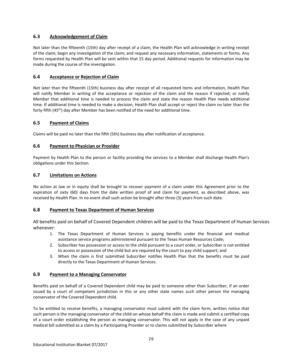# **6.3 Acknowledgement of Claim**

Not later than the fifteenth (15th) day after receipt of a claim, the Health Plan will acknowledge in writing receipt of the claim; begin any investigation of the claim; and request any necessary information, statements or forms. Any forms requested by Health Plan will be sent within that 15 day period. Additional requests for information may be made during the course of the investigation.

# **6.4 Acceptance or Rejection of Claim**

Not later than the fifteenth (15th) business day after receipt of all requested items and information, Health Plan will notify Member in writing of the acceptance or rejection of the claim and the reason if rejected; or notify Member that additional time is needed to process the claim and state the reason Health Plan needs additional time. If additional time is needed to make a decision, Health Plan shall accept or reject the claim no later than the forty-fifth  $(45<sup>th</sup>)$  day after Member has been notified of the need for additional time.

# **6.5 Payment of Claims**

Claims will be paid no later than the fifth (5th) business day after notification of acceptance.

# **6.6 Payment to Physician or Provider**

Payment by Health Plan to the person or facility providing the services to a Member shall discharge Health Plan's obligations under this Section.

# **6.7 Limitations on Actions**

No action at law or in equity shall be brought to recover payment of a claim under this Agreement prior to the expiration of sixty (60) days from the date written proof of and claim for payment, as described above, was received by Health Plan. In no event shall such action be brought after three (3) years from such date.

# **6.8 Payment to Texas Department of Human Services**

All benefits paid on behalf of Covered Dependent children will be paid to the Texas Department of Human Services whenever:

- 1. The Texas Department of Human Services is paying benefits under the financial and medical assistance service programs administered pursuant to the Texas Human Resources Code;
- 2. Subscriber has possession or access to the child pursuant to a court order, or Subscriber is not entitled to access or possession of the child but are required by the court to pay child support; and
- 3. When the claim is first submitted Subscriber notifies Health Plan that the benefits must be paid directly to the Texas Department of Human Services.

# **6.9 Payment to a Managing Conservator**

Benefits paid on behalf of a Covered Dependent child may be paid to someone other than Subscriber, if an order issued by a court of competent jurisdiction in this or any other state names such other person the managing conservator of the Covered Dependent child.

To be entitled to receive benefits, a managing conservator must submit with the claim form, written notice that such person is the managing conservator of the child on whose behalf the claim is made and submit a certified copy of a court order establishing the person as managing conservator. This will not apply in the case of any unpaid medical bill submitted as a claim by a Participating Provider or to claims submitted by Subscriber where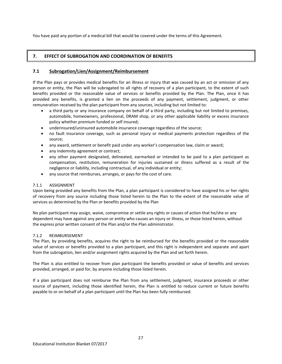You have paid any portion of a medical bill that would be covered under the terms of this Agreement.

# **7. EFFECT OF SUBROGATION AND COORDINATION OF BENEFITS**

# **7.1 Subrogation/Lien/Assignment/Reimbursement**

If the Plan pays or provides medical benefits for an illness or injury that was caused by an act or omission of any person or entity, the Plan will be subrogated to all rights of recovery of a plan participant, to the extent of such benefits provided or the reasonable value of services or benefits provided by the Plan. The Plan, once it has provided any benefits, is granted a lien on the proceeds of any payment, settlement, judgment, or other remuneration received by the plan participant from any sources, including but not limited to:

- a third party or any insurance company on behalf of a third party, including but not limited to premises, automobile, homeowners, professional, DRAM shop, or any other applicable liability or excess insurance policy whether premium funded or self insured;
- underinsured/uninsured automobile insurance coverage regardless of the source;
- no fault insurance coverage, such as personal injury or medical payments protection regardless of the source;
- any award, settlement or benefit paid under any worker's compensation law, claim or award;
- any indemnity agreement or contract;
- any other payment designated, delineated, earmarked or intended to be paid to a plan participant as compensation, restitution, remuneration for injuries sustained or illness suffered as a result of the negligence or liability, including contractual, of any individual or entity;
- any source that reimburses, arranges, or pays for the cost of care.

# 7.1.1 ASSIGNMENT

Upon being provided any benefits from the Plan, a plan participant is considered to have assigned his or her rights of recovery from any source including those listed herein to the Plan to the extent of the reasonable value of services as determined by the Plan or benefits provided by the Plan

No plan participant may assign, waive, compromise or settle any rights or causes of action that he/she or any dependent may have against any person or entity who causes an injury or illness, or those listed herein, without the express prior written consent of the Plan and/or the Plan administrator.

# 7.1.2 REIMBURSEMENT

The Plan, by providing benefits, acquires the right to be reimbursed for the benefits provided or the reasonable value of services or benefits provided to a plan participant, and this right is independent and separate and apart from the subrogation, lien and/or assignment rights acquired by the Plan and set forth herein.

The Plan is also entitled to recover from plan participant the benefits provided or value of benefits and services provided, arranged, or paid for, by anyone including those listed herein.

If a plan participant does not reimburse the Plan from any settlement, judgment, insurance proceeds or other source of payment, including those identified herein, the Plan is entitled to reduce current or future benefits payable to or on behalf of a plan participant until the Plan has been fully reimbursed.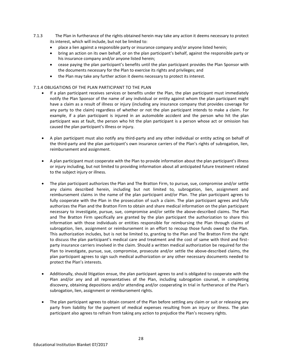- 7.1.3 The Plan in furtherance of the rights obtained herein may take any action it deems necessary to protect its interest, which will include, but not be limited to:
	- place a lien against a responsible party or insurance company and/or anyone listed herein;
	- bring an action on its own behalf, or on the plan participant's behalf, against the responsible party or his insurance company and/or anyone listed herein;
	- cease paying the plan participant's benefits until the plan participant provides the Plan Sponsor with the documents necessary for the Plan to exercise its rights and privileges; and
	- the Plan may take any further action it deems necessary to protect its interest.

## 7.1.4 OBLIGATIONS OF THE PLAN PARTICIPANT TO THE PLAN

- If a plan participant receives services or benefits under the Plan, the plan participant must immediately notify the Plan Sponsor of the name of any individual or entity against whom the plan participant might have a claim as a result of illness or injury (including any insurance company that provides coverage for any party to the claim) regardless of whether or not the plan participant intends to make a claim. For example, if a plan participant is injured in an automobile accident and the person who hit the plan participant was at fault, the person who hit the plan participant is a person whose act or omission has caused the plan participant's illness or injury.
- A plan participant must also notify any third-party and any other individual or entity acting on behalf of the third-party and the plan participant's own insurance carriers of the Plan's rights of subrogation, lien, reimbursement and assignment.
- A plan participant must cooperate with the Plan to provide information about the plan participant's illness or injury including, but not limited to providing information about all anticipated future treatment related to the subject injury or illness.
- The plan participant authorizes the Plan and The Bratton Firm, to pursue, sue, compromise and/or settle any claims described herein, including but not limited to, subrogation, lien, assignment and reimbursement claims in the name of the plan participant and/or Plan. The plan participant agrees to fully cooperate with the Plan in the prosecution of such a claim. The plan participant agrees and fully authorizes the Plan and the Bratton Firm to obtain and share medical information on the plan participant necessary to investigate, pursue, sue, compromise and/or settle the above-described claims. The Plan and The Bratton Firm specifically are granted by the plan participant the authorization to share this information with those individuals or entities responsible for reimbursing the Plan through claims of subrogation, lien, assignment or reimbursement in an effort to recoup those funds owed to the Plan. This authorization includes, but is not be limited to, granting to the Plan and The Bratton Firm the right to discuss the plan participant's medical care and treatment and the cost of same with third and firstparty insurance carriers involved in the claim. Should a written medical authorization be required for the Plan to investigate, pursue, sue, compromise, prosecute and/or settle the above-described claims, the plan participant agrees to sign such medical authorization or any other necessary documents needed to protect the Plan's interests.
- Additionally, should litigation ensue, the plan participant agrees to and is obligated to cooperate with the Plan and/or any and all representatives of the Plan, including subrogation counsel, in completing discovery, obtaining depositions and/or attending and/or cooperating in trial in furtherance of the Plan's subrogation, lien, assignment or reimbursement rights.
- The plan participant agrees to obtain consent of the Plan before settling any claim or suit or releasing any party from liability for the payment of medical expenses resulting from an injury or illness. The plan participant also agrees to refrain from taking any action to prejudice the Plan's recovery rights.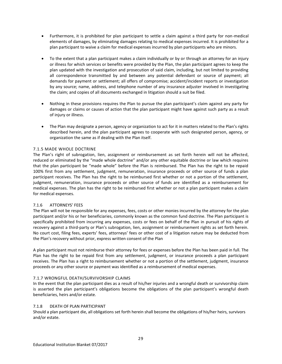- Furthermore, it is prohibited for plan participant to settle a claim against a third party for non-medical elements of damages, by eliminating damages relating to medical expenses incurred. It is prohibited for a plan participant to waive a claim for medical expenses incurred by plan participants who are minors.
- To the extent that a plan participant makes a claim individually or by or through an attorney for an injury or illness for which services or benefits were provided by the Plan, the plan participant agrees to keep the plan updated with the investigation and prosecution of said claim, including, but not limited to providing all correspondence transmitted by and between any potential defendant or source of payment; all demands for payment or settlement; all offers of compromise; accident/incident reports or investigation by any source; name, address, and telephone number of any insurance adjuster involved in investigating the claim; and copies of all documents exchanged in litigation should a suit be filed.
- Nothing in these provisions requires the Plan to pursue the plan participant's claim against any party for damages or claims or causes of action that the plan participant might have against such party as a result of injury or illness.
- The Plan may designate a person, agency or organization to act for it in matters related to the Plan's rights described herein, and the plan participant agrees to cooperate with such designated person, agency, or organization the same as if dealing with the Plan itself.

## 7.1.5 MADE WHOLE DOCTRINE

The Plan's right of subrogation, lien, assignment or reimbursement as set forth herein will not be affected, reduced or eliminated by the "made whole doctrine" and/or any other equitable doctrine or law which requires that the plan participant be "made whole" before the Plan is reimbursed. The Plan has the right to be repaid 100% first from any settlement, judgment, remuneration, insurance proceeds or other source of funds a plan participant receives. The Plan has the right to be reimbursed first whether or not a portion of the settlement, judgment, remuneration, insurance proceeds or other source of funds are identified as a reimbursement for medical expenses. The plan has the right to be reimbursed first whether or not a plan participant makes a claim for medical expenses.

## 7.1.6 ATTORNEYS' FEES

The Plan will not be responsible for any expenses, fees, costs or other monies incurred by the attorney for the plan participant and/or his or her beneficiaries, commonly known as the common fund doctrine. The Plan participant is specifically prohibited from incurring any expenses, costs or fees on behalf of the Plan in pursuit of his rights of recovery against a third-party or Plan's subrogation, lien, assignment or reimbursement rights as set forth herein. No court cost, filing fees, experts' fees, attorneys' fees or other cost of a litigation nature may be deducted from the Plan's recovery without prior, express written consent of the Plan

A plan participant must not reimburse their attorney for fees or expenses before the Plan has been paid in full. The Plan has the right to be repaid first from any settlement, judgment, or insurance proceeds a plan participant receives. The Plan has a right to reimbursement whether or not a portion of the settlement, judgment, insurance proceeds or any other source or payment was identified as a reimbursement of medical expenses.

## 7.1.7 WRONGFUL DEATH/SURVIVORSHIP CLAIMS

In the event that the plan participant dies as a result of his/her injuries and a wrongful death or survivorship claim is asserted the plan participant's obligations become the obligations of the plan participant's wrongful death beneficiaries, heirs and/or estate.

## 7.1.8 DEATH OF PLAN PARTICIPANT

Should a plan participant die, all obligations set forth herein shall become the obligations of his/her heirs, survivors and/or estate.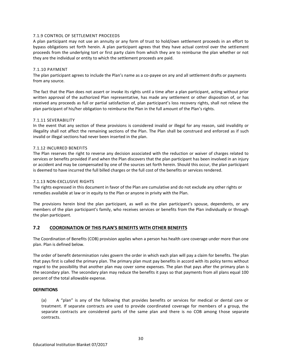## 7.1.9 CONTROL OF SETTLEMENT PROCEEDS

A plan participant may not use an annuity or any form of trust to hold/own settlement proceeds in an effort to bypass obligations set forth herein. A plan participant agrees that they have actual control over the settlement proceeds from the underlying tort or first party claim from which they are to reimburse the plan whether or not they are the individual or entity to which the settlement proceeds are paid.

## 7.1.10 PAYMENT

The plan participant agrees to include the Plan's name as a co-payee on any and all settlement drafts or payments from any source.

The fact that the Plan does not assert or invoke its rights until a time after a plan participant, acting without prior written approval of the authorized Plan representative, has made any settlement or other disposition of, or has received any proceeds as full or partial satisfaction of, plan participant's loss recovery rights, shall not relieve the plan participant of his/her obligation to reimburse the Plan in the full amount of the Plan's rights.

### 7.1.11 SEVERABILITY

In the event that any section of these provisions is considered invalid or illegal for any reason, said invalidity or illegality shall not affect the remaining sections of the Plan. The Plan shall be construed and enforced as if such invalid or illegal sections had never been inserted in the plan.

### 7.1.12 INCURRED BENEFITS

The Plan reserves the right to reverse any decision associated with the reduction or waiver of charges related to services or benefits provided if and when the Plan discovers that the plan participant has been involved in an injury or accident and may be compensated by one of the sources set forth herein. Should this occur, the plan participant is deemed to have incurred the full billed charges or the full cost of the benefits or services rendered.

## 7.1.13 NON-EXCLUSIVE RIGHTS

The rights expressed in this document in favor of the Plan are cumulative and do not exclude any other rights or remedies available at law or in equity to the Plan or anyone in privity with the Plan.

The provisions herein bind the plan participant, as well as the plan participant's spouse, dependents, or any members of the plan participant's family, who receives services or benefits from the Plan individually or through the plan participant.

## **7.2 COORDINATION OF THIS PLAN'S BENEFITS WITH OTHER BENEFITS**

The Coordination of Benefits (COB) provision applies when a person has health care coverage under more than one plan. Plan is defined below.

The order of benefit determination rules govern the order in which each plan will pay a claim for benefits. The plan that pays first is called the primary plan. The primary plan must pay benefits in accord with its policy terms without regard to the possibility that another plan may cover some expenses. The plan that pays after the primary plan is the secondary plan. The secondary plan may reduce the benefits it pays so that payments from all plans equal 100 percent of the total allowable expense.

#### **DEFINITIONS**

(a) A "plan" is any of the following that provides benefits or services for medical or dental care or treatment. If separate contracts are used to provide coordinated coverage for members of a group, the separate contracts are considered parts of the same plan and there is no COB among those separate contracts.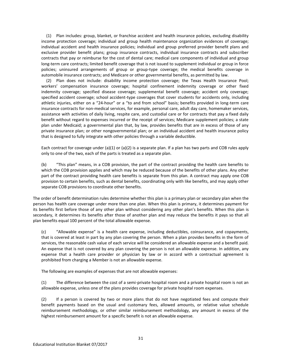(1) Plan includes: group, blanket, or franchise accident and health insurance policies, excluding disability income protection coverage; individual and group health maintenance organization evidences of coverage; individual accident and health insurance policies; individual and group preferred provider benefit plans and exclusive provider benefit plans; group insurance contracts, individual insurance contracts and subscriber contracts that pay or reimburse for the cost of dental care; medical care components of individual and group long-term care contracts; limited benefit coverage that is not issued to supplement individual or group in force policies; uninsured arrangements of group or group-type coverage; the medical benefits coverage in automobile insurance contracts; and Medicare or other governmental benefits, as permitted by law.

(2) Plan does not include: disability income protection coverage; the Texas Health Insurance Pool; workers' compensation insurance coverage; hospital confinement indemnity coverage or other fixed indemnity coverage; specified disease coverage; supplemental benefit coverage; accident only coverage; specified accident coverage; school accident-type coverages that cover students for accidents only, including athletic injuries, either on a "24-hour" or a "to and from school" basis; benefits provided in long-term care insurance contracts for non-medical services, for example, personal care, adult day care, homemaker services, assistance with activities of daily living, respite care, and custodial care or for contracts that pay a fixed daily benefit without regard to expenses incurred or the receipt of services; Medicare supplement policies; a state plan under Medicaid; a governmental plan that, by law, provides benefits that are in excess of those of any private insurance plan; or other nongovernmental plan; or an individual accident and health insurance policy that is designed to fully integrate with other policies through a variable deductible.

Each contract for coverage under (a)(1) or (a)(2) is a separate plan. If a plan has two parts and COB rules apply only to one of the two, each of the parts is treated as a separate plan.

(b) "This plan" means, in a COB provision, the part of the contract providing the health care benefits to which the COB provision applies and which may be reduced because of the benefits of other plans. Any other part of the contract providing health care benefits is separate from this plan. A contract may apply one COB provision to certain benefits, such as dental benefits, coordinating only with like benefits, and may apply other separate COB provisions to coordinate other benefits.

The order of benefit determination rules determine whether this plan is a primary plan or secondary plan when the person has health care coverage under more than one plan. When this plan is primary, it determines payment for its benefits first before those of any other plan without considering any other plan's benefits. When this plan is secondary, it determines its benefits after those of another plan and may reduce the benefits it pays so that all plan benefits equal 100 percent of the total allowable expense.

(c) "Allowable expense" is a health care expense, including deductibles, coinsurance, and copayments, that is covered at least in part by any plan covering the person. When a plan provides benefits in the form of services, the reasonable cash value of each service will be considered an allowable expense and a benefit paid. An expense that is not covered by any plan covering the person is not an allowable expense. In addition, any expense that a health care provider or physician by law or in accord with a contractual agreement is prohibited from charging a Member is not an allowable expense.

The following are examples of expenses that are not allowable expenses:

(1) The difference between the cost of a semi-private hospital room and a private hospital room is not an allowable expense, unless one of the plans provides coverage for private hospital room expenses.

(2) If a person is covered by two or more plans that do not have negotiated fees and compute their benefit payments based on the usual and customary fees, allowed amounts, or relative value schedule reimbursement methodology, or other similar reimbursement methodology, any amount in excess of the highest reimbursement amount for a specific benefit is not an allowable expense.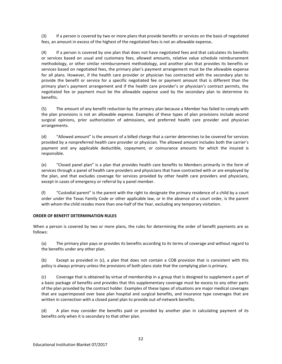(3) If a person is covered by two or more plans that provide benefits or services on the basis of negotiated fees, an amount in excess of the highest of the negotiated fees is not an allowable expense**.**

(4) If a person is covered by one plan that does not have negotiated fees and that calculates its benefits or services based on usual and customary fees, allowed amounts, relative value schedule reimbursement methodology, or other similar reimbursement methodology, and another plan that provides its benefits or services based on negotiated fees, the primary plan's payment arrangement must be the allowable expense for all plans. However, if the health care provider or physician has contracted with the secondary plan to provide the benefit or service for a specific negotiated fee or payment amount that is different than the primary plan's payment arrangement and if the health care provider's or physician's contract permits, the negotiated fee or payment must be the allowable expense used by the secondary plan to determine its benefits.

(5) The amount of any benefit reduction by the primary plan because a Member has failed to comply with the plan provisions is not an allowable expense. Examples of these types of plan provisions include second surgical opinions, prior authorization of admissions, and preferred health care provider and physician arrangements.

(d) "Allowed amount" is the amount of a billed charge that a carrier determines to be covered for services provided by a nonpreferred health care provider or physician. The allowed amount includes both the carrier's payment and any applicable deductible, copayment, or coinsurance amounts for which the insured is responsible.

(e) "Closed panel plan" is a plan that provides health care benefits to Members primarily in the form of services through a panel of health care providers and physicians that have contracted with or are employed by the plan, and that excludes coverage for services provided by other health care providers and physicians, except in cases of emergency or referral by a panel member.

(f) "Custodial parent" is the parent with the right to designate the primary residence of a child by a court order under the Texas Family Code or other applicable law, or in the absence of a court order, is the parent with whom the child resides more than one-half of the Year, excluding any temporary visitation.

## **ORDER OF BENEFIT DETERMINATION RULES**

When a person is covered by two or more plans, the rules for determining the order of benefit payments are as follows:

(a) The primary plan pays or provides its benefits according to its terms of coverage and without regard to the benefits under any other plan.

(b) Except as provided in (c), a plan that does not contain a COB provision that is consistent with this policy is always primary unless the provisions of both plans state that the complying plan is primary.

(c) Coverage that is obtained by virtue of membership in a group that is designed to supplement a part of a basic package of benefits and provides that this supplementary coverage must be excess to any other parts of the plan provided by the contract holder. Examples of these types of situations are major medical coverages that are superimposed over base plan hospital and surgical benefits, and insurance type coverages that are written in connection with a closed panel plan to provide out-of-network benefits.

(d) A plan may consider the benefits paid or provided by another plan in calculating payment of its benefits only when it is secondary to that other plan.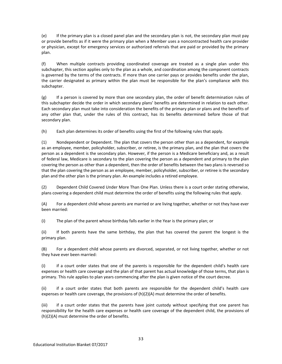(e) If the primary plan is a closed panel plan and the secondary plan is not, the secondary plan must pay or provide benefits as if it were the primary plan when a Member uses a noncontracted health care provider or physician, except for emergency services or authorized referrals that are paid or provided by the primary plan.

(f) When multiple contracts providing coordinated coverage are treated as a single plan under this subchapter, this section applies only to the plan as a whole, and coordination among the component contracts is governed by the terms of the contracts. If more than one carrier pays or provides benefits under the plan, the carrier designated as primary within the plan must be responsible for the plan's compliance with this subchapter.

(g) If a person is covered by more than one secondary plan, the order of benefit determination rules of this subchapter decide the order in which secondary plans' benefits are determined in relation to each other. Each secondary plan must take into consideration the benefits of the primary plan or plans and the benefits of any other plan that, under the rules of this contract, has its benefits determined before those of that secondary plan.

(h) Each plan determines its order of benefits using the first of the following rules that apply.

(1) Nondependent or Dependent. The plan that covers the person other than as a dependent, for example as an employee, member, policyholder, subscriber, or retiree, is the primary plan, and the plan that covers the person as a dependent is the secondary plan. However, if the person is a Medicare beneficiary and, as a result of federal law, Medicare is secondary to the plan covering the person as a dependent and primary to the plan covering the person as other than a dependent, then the order of benefits between the two plans is reversed so that the plan covering the person as an employee, member, policyholder, subscriber, or retiree is the secondary plan and the other plan is the primary plan. An example includes a retired employee.

(2) Dependent Child Covered Under More Than One Plan. Unless there is a court order stating otherwise, plans covering a dependent child must determine the order of benefits using the following rules that apply.

(A) For a dependent child whose parents are married or are living together, whether or not they have ever been married:

(i) The plan of the parent whose birthday falls earlier in the Year is the primary plan; or

(ii) If both parents have the same birthday, the plan that has covered the parent the longest is the primary plan.

(B) For a dependent child whose parents are divorced, separated, or not living together, whether or not they have ever been married:

(i) if a court order states that one of the parents is responsible for the dependent child's health care expenses or health care coverage and the plan of that parent has actual knowledge of those terms, that plan is primary. This rule applies to plan years commencing after the plan is given notice of the court decree.

(ii) if a court order states that both parents are responsible for the dependent child's health care expenses or health care coverage, the provisions of (h)(2)(A) must determine the order of benefits.

(iii) if a court order states that the parents have joint custody without specifying that one parent has responsibility for the health care expenses or health care coverage of the dependent child, the provisions of (h)(2)(A) must determine the order of benefits.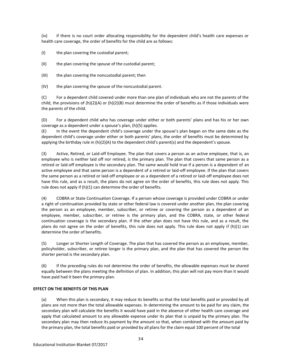(iv) if there is no court order allocating responsibility for the dependent child's health care expenses or health care coverage, the order of benefits for the child are as follows:

(I) the plan covering the custodial parent;

(II) the plan covering the spouse of the custodial parent;

(III) the plan covering the noncustodial parent; then

(IV) the plan covering the spouse of the noncustodial parent.

(C) For a dependent child covered under more than one plan of individuals who are not the parents of the child, the provisions of  $(h)(2)(A)$  or  $(h)(2)(B)$  must determine the order of benefits as if those individuals were the parents of the child.

(D) For a dependent child who has coverage under either or both parents' plans and has his or her own coverage as a dependent under a spouse's plan, (h)(5) applies.

(E) In the event the dependent child's coverage under the spouse's plan began on the same date as the dependent child's coverage under either or both parents' plans, the order of benefits must be determined by applying the birthday rule in (h)(2)(A) to the dependent child's parent(s) and the dependent's spouse.

(3) Active, Retired, or Laid-off Employee. The plan that covers a person as an active employee, that is, an employee who is neither laid off nor retired, is the primary plan. The plan that covers that same person as a retired or laid-off employee is the secondary plan. The same would hold true if a person is a dependent of an active employee and that same person is a dependent of a retired or laid-off employee. If the plan that covers the same person as a retired or laid-off employee or as a dependent of a retired or laid-off employee does not have this rule, and as a result, the plans do not agree on the order of benefits, this rule does not apply. This rule does not apply if (h)(1) can determine the order of benefits.

(4) COBRA or State Continuation Coverage. If a person whose coverage is provided under COBRA or under a right of continuation provided by state or other federal law is covered under another plan, the plan covering the person as an employee, member, subscriber, or retiree or covering the person as a dependent of an employee, member, subscriber, or retiree is the primary plan, and the COBRA, state, or other federal continuation coverage is the secondary plan. If the other plan does not have this rule, and as a result, the plans do not agree on the order of benefits, this rule does not apply. This rule does not apply if (h)(1) can determine the order of benefits.

(5) Longer or Shorter Length of Coverage. The plan that has covered the person as an employee, member, policyholder, subscriber, or retiree longer is the primary plan, and the plan that has covered the person the shorter period is the secondary plan.

(6) If the preceding rules do not determine the order of benefits, the allowable expenses must be shared equally between the plans meeting the definition of plan. In addition, this plan will not pay more than it would have paid had it been the primary plan.

## **EFFECT ON THE BENEFITS OF THIS PLAN**

(a) When this plan is secondary, it may reduce its benefits so that the total benefits paid or provided by all plans are not more than the total allowable expenses. In determining the amount to be paid for any claim, the secondary plan will calculate the benefits it would have paid in the absence of other health care coverage and apply that calculated amount to any allowable expense under its plan that is unpaid by the primary plan. The secondary plan may then reduce its payment by the amount so that, when combined with the amount paid by the primary plan, the total benefits paid or provided by all plans for the claim equal 100 percent of the total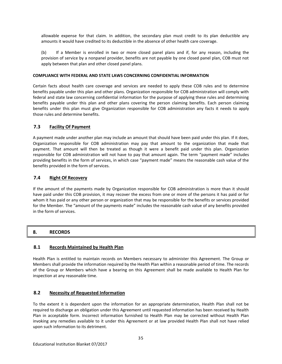allowable expense for that claim. In addition, the secondary plan must credit to its plan deductible any amounts it would have credited to its deductible in the absence of other health care coverage.

(b) If a Member is enrolled in two or more closed panel plans and if, for any reason, including the provision of service by a nonpanel provider, benefits are not payable by one closed panel plan, COB must not apply between that plan and other closed panel plans.

## **COMPLIANCE WITH FEDERAL AND STATE LAWS CONCERNING CONFIDENTIAL INFORMATION**

Certain facts about health care coverage and services are needed to apply these COB rules and to determine benefits payable under this plan and other plans. Organization responsible for COB administration will comply with federal and state law concerning confidential information for the purpose of applying these rules and determining benefits payable under this plan and other plans covering the person claiming benefits. Each person claiming benefits under this plan must give Organization responsible for COB administration any facts it needs to apply those rules and determine benefits.

# **7.3 Facility Of Payment**

A payment made under another plan may include an amount that should have been paid under this plan. If it does, Organization responsible for COB administration may pay that amount to the organization that made that payment. That amount will then be treated as though it were a benefit paid under this plan. Organization responsible for COB administration will not have to pay that amount again. The term "payment made" includes providing benefits in the form of services, in which case "payment made" means the reasonable cash value of the benefits provided in the form of services.

# **7.4 Right Of Recovery**

If the amount of the payments made by Organization responsible for COB administration is more than it should have paid under this COB provision, it may recover the excess from one or more of the persons it has paid or for whom it has paid or any other person or organization that may be responsible for the benefits or services provided for the Member. The "amount of the payments made" includes the reasonable cash value of any benefits provided in the form of services.

# **8. RECORDS**

## **8.1 Records Maintained by Health Plan**

Health Plan is entitled to maintain records on Members necessary to administer this Agreement. The Group or Members shall provide the information required by the Health Plan within a reasonable period of time. The records of the Group or Members which have a bearing on this Agreement shall be made available to Health Plan for inspection at any reasonable time.

## **8.2 Necessity of Requested Information**

To the extent it is dependent upon the information for an appropriate determination, Health Plan shall not be required to discharge an obligation under this Agreement until requested information has been received by Health Plan in acceptable form. Incorrect information furnished to Health Plan may be corrected without Health Plan invoking any remedies available to it under this Agreement or at law provided Health Plan shall not have relied upon such information to its detriment.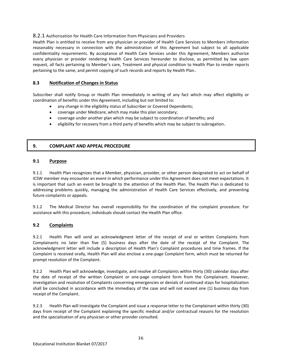# 8.2.1 Authorization for Health Care Information from Physicians and Providers

Health Plan is entitled to receive from any physician or provider of Health Care Services to Members information reasonably necessary in connection with the administration of this Agreement but subject to all applicable confidentiality requirements. By acceptance of Health Care Services under this Agreement, Members authorize every physician or provider rendering Health Care Services hereunder to disclose, as permitted by law upon request, all facts pertaining to Member's care, Treatment and physical condition to Health Plan to render reports pertaining to the same, and permit copying of such records and reports by Health Plan.

# **8.3 Notification of Changes in Status**

Subscriber shall notify Group or Health Plan immediately in writing of any fact which may affect eligibility or coordination of benefits under this Agreement, including but not limited to:

- any change in the eligibility status of Subscriber or Covered Dependents;
- coverage under Medicare, which may make this plan secondary;
- coverage under another plan which may be subject to coordination of benefits; and
- eligibility for recovery from a third party of benefits which may be subject to subrogation.

# **9. COMPLAINT AND APPEAL PROCEDURE**

## **9.1 Purpose**

9.1.1 Health Plan recognizes that a Member, physician, provider, or other person designated to act on behalf of ICSW member may encounter an event in which performance under this Agreement does not meet expectations. It is important that such an event be brought to the attention of the Health Plan. The Health Plan is dedicated to addressing problems quickly, managing the administration of Health Care Services effectively, and preventing future complaints or appeals.

9.1.2 The Medical Director has overall responsibility for the coordination of the complaint procedure. For assistance with this procedure, individuals should contact the Health Plan office.

# **9.2 Complaints**

9.2.1 Health Plan will send an acknowledgment letter of the receipt of oral or written Complaints from Complainants no later than five (5) business days after the date of the receipt of the Complaint. The acknowledgment letter will include a description of Health Plan's Complaint procedures and time frames. If the Complaint is received orally, Health Plan will also enclose a one-page Complaint form, which must be returned for prompt resolution of the Complaint.

9.2.2 Health Plan will acknowledge, investigate, and resolve all Complaints within thirty (30) calendar days after the date of receipt of the written Complaint or one-page complaint form from the Complainant. However, investigation and resolution of Complaints concerning emergencies or denials of continued stays for hospitalization shall be concluded in accordance with the immediacy of the case and will not exceed one (1) business day from receipt of the Complaint.

9.2.3 Health Plan will investigate the Complaint and issue a response letter to the Complainant within thirty (30) days from receipt of the Complaint explaining the specific medical and/or contractual reasons for the resolution and the specialization of any physician or other provider consulted.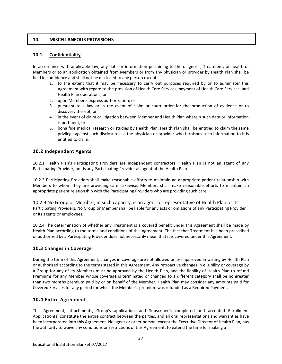# **10. MISCELLANEOUS PROVISIONS**

# **10.1 Confidentiality**

In accordance with applicable law, any data or information pertaining to the diagnosis, Treatment, or health of Members or to an application obtained from Members or from any physician or provider by Health Plan shall be held in confidence and shall not be disclosed to any person except:

- 1. to the extent that it may be necessary to carry out purposes required by or to administer this Agreement with regard to the provision of Health Care Services, payment of Health Care Services, and Health Plan operations; or
- 2. upon Member's express authorization; or
- 3. pursuant to a law or in the event of claim or court order for the production of evidence or to discovery thereof; or
- 4. in the event of claim or litigation between Member and Health Plan wherein such data or information is pertinent, or
- 5. bona fide medical research or studies by Health Plan. Health Plan shall be entitled to claim the same privilege against such disclosures as the physician or provider who furnishes such information to it is entitled to claim.

# **10.2 Independent Agents**

10.2.1 Health Plan's Participating Providers are independent contractors. Health Plan is not an agent of any Participating Provider, not is any Participating Provider an agent of the Health Plan.

10.2.2 Participating Providers shall make reasonable efforts to maintain an appropriate patient relationship with Members to whom they are providing care. Likewise, Members shall make reasonable efforts to maintain an appropriate patient relationship with the Participating Providers who are providing such care.

10.2.3 No Group or Member, in such capacity, is an agent or representative of Health Plan or its Participating Providers. No Group or Member shall be liable for any acts or omissions of any Participating Provider or its agents or employees.

10.2.4 The determination of whether any Treatment is a covered benefit under this Agreement shall be made by Health Plan according to the terms and conditions of this Agreement. The fact that Treatment has been prescribed or authorized by a Participating Provider does not necessarily mean that it is covered under this Agreement.

## **10.3 Changes in Coverage**

During the term of this Agreement, changes in coverage are not allowed unless approved in writing by Health Plan or authorized according to the terms stated in this Agreement. Any retroactive changes in eligibility or coverage by a Group for any of its Members must be approved by the Health Plan, and the liability of Health Plan to refund Premiums for any Member whose coverage is terminated or changed to a different category shall be no greater than two months premium paid by or on behalf of the Member. Health Plan may consider any amounts paid for Covered Services for any period for which the Member's premium was refunded as a Required Payment.

# **10.4 Entire Agreement**

This Agreement, attachments, Group's application, and Subscriber's completed and accepted Enrollment Application(s) constitute the entire contract between the parties, and all oral representations and warranties have been incorporated into this Agreement. No agent or other person, except the Executive Director of Health Plan, has the authority to waive any conditions or restrictions of this Agreement, to extend the time for making a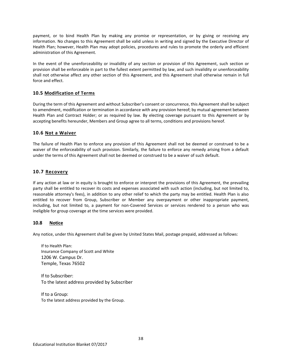payment, or to bind Health Plan by making any promise or representation, or by giving or receiving any information. No changes to this Agreement shall be valid unless in writing and signed by the Executive Director of Health Plan; however, Health Plan may adopt policies, procedures and rules to promote the orderly and efficient administration of this Agreement.

In the event of the unenforceability or invalidity of any section or provision of this Agreement, such section or provision shall be enforceable in part to the fullest extent permitted by law, and such invalidity or unenforceability shall not otherwise affect any other section of this Agreement, and this Agreement shall otherwise remain in full force and effect.

# **10.5 Modification of Terms**

During the term of this Agreement and without Subscriber's consent or concurrence, this Agreement shall be subject to amendment, modification or termination in accordance with any provision hereof; by mutual agreement between Health Plan and Contract Holder; or as required by law. By electing coverage pursuant to this Agreement or by accepting benefits hereunder, Members and Group agree to all terms, conditions and provisions hereof.

# **10.6 Not a Waiver**

The failure of Health Plan to enforce any provision of this Agreement shall not be deemed or construed to be a waiver of the enforceability of such provision. Similarly, the failure to enforce any remedy arising from a default under the terms of this Agreement shall not be deemed or construed to be a waiver of such default.

# **10.7 Recovery**

If any action at law or in equity is brought to enforce or interpret the provisions of this Agreement, the prevailing party shall be entitled to recover its costs and expenses associated with such action (including, but not limited to, reasonable attorney's fees), in addition to any other relief to which the party may be entitled. Health Plan is also entitled to recover from Group, Subscriber or Member any overpayment or other inappropriate payment, including, but not limited to, a payment for non-Covered Services or services rendered to a person who was ineligible for group coverage at the time services were provided.

# **10.8 Notice**

Any notice, under this Agreement shall be given by United States Mail, postage prepaid, addressed as follows:

If to Health Plan: Insurance Company of Scott and White 1206 W. Campus Dr. Temple, Texas 76502

If to Subscriber: To the latest address provided by Subscriber

If to a Group: To the latest address provided by the Group.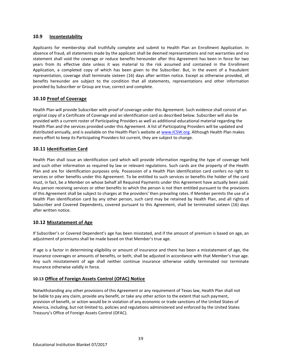# **10.9 Incontestability**

Applicants for membership shall truthfully complete and submit to Health Plan an Enrollment Application. In absence of fraud, all statements made by the applicant shall be deemed representations and not warranties and no statement shall void the coverage or reduce benefits hereunder after this Agreement has been in force for two years from its effective date unless it was material to the risk assumed and contained in the Enrollment Application, a completed copy of which has been given to the Subscriber. But, in the event of a fraudulent representation, coverage shall terminate sixteen (16) days after written notice. Except as otherwise provided, all benefits hereunder are subject to the condition that all statements, representations and other information provided by Subscriber or Group are true, correct and complete.

# **10.10 Proof of Coverage**

Health Plan will provide Subscriber with proof of coverage under this Agreement. Such evidence shall consist of an original copy of a Certificate of Coverage and an identification card as described below. Subscriber will also be provided with a current roster of Participating Providers as well as additional educational material regarding the Health Plan and the services provided under this Agreement. A list of Participating Providers will be updated and distributed annually, and is available on the Health Plan's website at [www.ICSW.org.](http://www.icsw.org/) Although Health Plan makes every effort to keep its Participating Providers list current, they are subject to change.

# **10.11 Identification Card**

Health Plan shall issue an identification card which will provide information regarding the type of coverage held and such other information as required by law or relevant regulations. Such cards are the property of the Health Plan and are for identification purposes only. Possession of a Health Plan identification card confers no right to services or other benefits under this Agreement. To be entitled to such services or benefits the holder of the card must, in fact, be a Member on whose behalf all Required Payments under this Agreement have actually been paid. Any person receiving services or other benefits to which the person is not then entitled pursuant to the provisions of this Agreement shall be subject to charges at the providers' then prevailing rates. If Member permits the use of a Health Plan identification card by any other person, such card may be retained by Health Plan, and all rights of Subscriber and Covered Dependents, covered pursuant to this Agreement, shall be terminated sixteen (16) days after written notice.

# **10.12 Misstatement of Age**

If Subscriber's or Covered Dependent's age has been misstated, and if the amount of premium is based on age, an adjustment of premiums shall be made based on that Member's true age.

If age is a factor in determining eligibility or amount of insurance and there has been a misstatement of age, the insurance coverages or amounts of benefits, or both, shall be adjusted in accordance with that Member's true age. Any such misstatement of age shall neither continue insurance otherwise validly terminated nor terminate insurance otherwise validly in force.

# **10.13 Office of Foreign Assets Control (OFAC) Notice**

Notwithstanding any other provisions of this Agreement or any requirement of Texas law, Health Plan shall not be liable to pay any claim, provide any benefit, or take any other action to the extent that such payment, provision of benefit, or action would be in violation of any economic or trade sanctions of the United States of America, including, but not limited to, policies and regulations administered and enforced by the United States Treasury's Office of Foreign Assets Control (OFAC).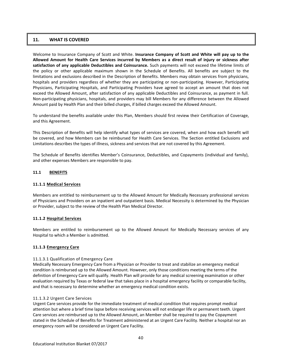## **11. WHAT IS COVERED**

Welcome to Insurance Company of Scott and White. **Insurance Company of Scott and White will pay up to the Allowed Amount for Health Care Services incurred by Members as a direct result of injury or sickness after satisfaction of any applicable Deductibles and Coinsurance.** Such payments will not exceed the lifetime limits of the policy or other applicable maximum shown in the Schedule of Benefits. All benefits are subject to the limitations and exclusions described in the Description of Benefits. Members may obtain services from physicians, hospitals and providers regardless of whether they are participating or non-participating. However, Participating Physicians, Participating Hospitals, and Participating Providers have agreed to accept an amount that does not exceed the Allowed Amount, after satisfaction of any applicable Deductibles and Coinsurance, as payment in full. Non-participating physicians, hospitals, and providers may bill Members for any difference between the Allowed Amount paid by Health Plan and their billed charges, if billed charges exceed the Allowed Amount.

To understand the benefits available under this Plan, Members should first review their Certification of Coverage, and this Agreement.

This Description of Benefits will help identify what types of services are covered, when and how each benefit will be covered, and how Members can be reimbursed for Health Care Services. The Section entitled Exclusions and Limitations describes the types of illness, sickness and services that are not covered by this Agreement.

The Schedule of Benefits identifies Member's Coinsurance, Deductibles, and Copayments (individual and family), and other expenses Members are responsible to pay.

### **11.1 BENEFITS**

#### **11.1.1 Medical Services**

Members are entitled to reimbursement up to the Allowed Amount for Medically Necessary professional services of Physicians and Providers on an inpatient and outpatient basis. Medical Necessity is determined by the Physician or Provider, subject to the review of the Health Plan Medical Director.

#### **11.1.2 Hospital Services**

Members are entitled to reimbursement up to the Allowed Amount for Medically Necessary services of any Hospital to which a Member is admitted.

#### **11.1.3 Emergency Care**

#### 11.1.3.1 Qualification of Emergency Care

Medically Necessary Emergency Care from a Physician or Provider to treat and stabilize an emergency medical condition is reimbursed up to the Allowed Amount. However, only those conditions meeting the terms of the definition of Emergency Care will qualify. Health Plan will provide for any medical screening examination or other evaluation required by Texas or federal law that takes place in a hospital emergency facility or comparable facility, and that is necessary to determine whether an emergency medical condition exists.

#### 11.1.3.2 Urgent Care Services

Urgent Care services provide for the immediate treatment of medical condition that requires prompt medical attention but where a brief time lapse before receiving services will not endanger life or permanent teeth. Urgent Care services are reimbursed up to the Allowed Amount, an Member shall be required to pay the Copayment stated in the Schedule of Benefits for Treatment administered at an Urgent Care Facility. Neither a hospital nor an emergency room will be considered an Urgent Care Facility.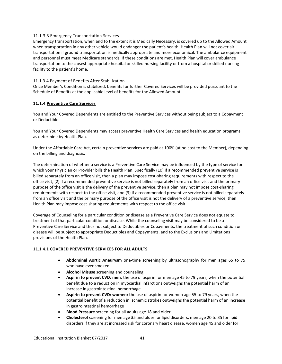#### 11.1.3.3 Emergency Transportation Services

Emergency transportation, when and to the extent it is Medically Necessary, is covered up to the Allowed Amount when transportation in any other vehicle would endanger the patient's health. Health Plan will not cover air transportation if ground transportation is medically appropriate and more economical. The ambulance equipment and personnel must meet Medicare standards. If these conditions are met, Health Plan will cover ambulance transportation to the closest appropriate hospital or skilled nursing facility or from a hospital or skilled nursing facility to the patient's home.

## 11.1.3.4 Payment of Benefits After Stabilization

Once Member's Condition is stabilized, benefits for further Covered Services will be provided pursuant to the Schedule of Benefits at the applicable level of benefits for the Allowed Amount.

### **11.1.4 Preventive Care Services**

You and Your Covered Dependents are entitled to the Preventive Services without being subject to a Copayment or Deductible.

You and Your Covered Dependents may access preventive Health Care Services and health education programs as determine by Health Plan.

Under the Affordable Care Act, certain preventive services are paid at 100% (at no cost to the Member), depending on the billing and diagnosis.

The determination of whether a service is a Preventive Care Service may be influenced by the type of service for which your Physician or Provider bills the Health Plan. Specifically (10) if a recommended preventive service is billed separately from an office visit, then a plan may impose cost-sharing requirements with respect to the office visit, (2) if a recommended preventive service is not billed separately from an office visit and the primary purpose of the office visit is the delivery of the preventive service, then a plan may not impose cost-sharing requirements with respect to the office visit, and (3) if a recommended preventive service is not billed separately from an office visit and the primary purpose of the office visit is not the delivery of a preventive service, then Health Plan may impose cost-sharing requirements with respect to the office visit.

Coverage of Counseling for a particular condition or disease as a Preventive Care Service does not equate to treatment of that particular condition or disease. While the counseling visit may be considered to be a Preventive Care Service and thus not subject to Deductibles or Copayments, the treatment of such condition or disease will be subject to appropriate Deductibles and Copayments, and to the Exclusions and Limitations provisions of the Health Plan.

#### 11.1.4.1 **COVERED PREVENTIVE SERVICES FOR ALL ADULTS**

- **Abdominal Aortic Aneurysm** one-time screening by ultrasonography for men ages 65 to 75 who have ever smoked
- **Alcohol Misuse** screening and counseling
- **Aspirin to prevent CVD: men**: the use of aspirin for men age 45 to 79 years, when the potential benefit due to a reduction in myocardial infarctions outweighs the potential harm of an increase in gastrointestinal hemorrhage
- **Aspirin to prevent CVD: women:** the use of aspirin for women age 55 to 79 years, when the potential benefit of a reduction in ischemic strokes outweighs the potential harm of an increase in gastrointestinal hemorrhage
- **Blood Pressure** screening for all adults age 18 and older
- **Cholesterol** screening for men age 35 and older for lipid disorders, men age 20 to 35 for lipid disorders if they are at increased risk for coronary heart disease, women age 45 and older for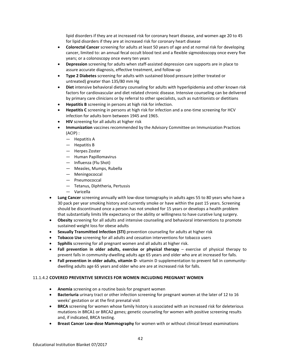lipid disorders if they are at increased risk for coronary heart disease, and women age 20 to 45 for lipid disorders if they are at increased risk for coronary heart disease

- **Colorectal Cancer** screening for adults at least 50 years of age and at normal risk for developing cancer, limited to: an annual fecal occult blood test and a flexible sigmoidoscopy once every five years; or a colonoscopy once every ten years
- **Depression** screening for adults when staff-assisted depression care supports are in place to assure accurate diagnosis, effective treatment, and follow-up
- **Type 2 Diabetes** screening for adults with sustained blood pressure (either treated or untreated) greater than 135/80 mm Hg
- **Diet** intensive behavioral dietary counseling for adults with hyperlipidemia and other known risk factors for cardiovascular and diet related chronic disease. Intensive counseling can be delivered by primary care clinicians or by referral to other specialists, such as nutritionists or dietitians
- **Hepatitis B** screening in persons at high risk for infection.
- **Hepatitis C** screening in persons at high risk for infection and a one-time screening for HCV infection for adults born between 1945 and 1965.
- **HIV** screening for all adults at higher risk
- **Immunization** vaccines recommended by the Advisory Committee on Immunization Practices (ACIP) :
	- Hepatitis A
	- Hepatitis B
	- Herpes Zoster
	- Human Papillomavirus
	- Influenza (Flu Shot)
	- Measles, Mumps, Rubella
	- Meningococcal
	- Pneumococcal
	- Tetanus, Diphtheria, Pertussis
	- Varicella
- **Lung Cancer** screening annually with low-dose tomography in adults ages 55 to 80 years who have a 30 pack per year smoking history and currently smoke or have within the past 15 years. Screening should be discontinued once a person has not smoked for 15 years or develops a health problem that substantially limits life expectancy or the ability or willingness to have curative lung surgery.
- **Obesity** screening for all adults and intensive counseling and behavioral interventions to promote sustained weight loss for obese adults
- **Sexually Transmitted Infection (STI)** prevention counseling for adults at higher risk
- **Tobacco Use** screening for all adults and cessation interventions for tobacco users
- **Syphilis** screening for all pregnant women and all adults at higher risk.
- Fall prevention in older adults, exercise or physical therapy exercise of physical therapy to prevent falls in community-dwelling adults age 65 years and older who are at increased for falls.
- **Fall prevention in older adults, vitamin D** vitamin D supplementation to prevent fall in communitydwelling adults age 65 years and older who are are at increased risk for falls.

## 11.1.4.2 **COVERED PREVENTIVE SERVICES FOR WOMEN INCLUDING PREGNANT WOMEN**

- **Anemia** screening on a routine basis for pregnant women
- **Bacteriuria** urinary tract or other infection screening for pregnant women at the later of 12 to 16 weeks' gestation or at the first prenatal visit
- **BRCA** screening for women whose family history is associated with an increased risk for deleterious mutations in BRCA1 or BRCA2 genes; genetic counseling for women with positive screening results and, if indicated, BRCA testing.
- **Breast Cancer Low-dose Mammography** for women with or without clinical breast examinations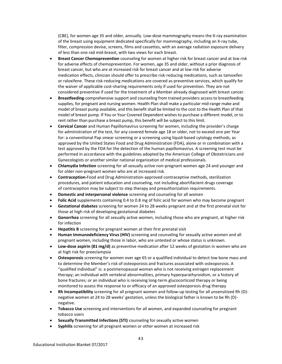(CBE), for women age 35 and older, annually. Low-dose mammography means the X-ray examination of the breast using equipment dedicated specifically for mammography, including an X-ray tube, filter, compression devise, screens, films and cassettes, with an average radiation exposure delivery of less than one rad mid-breast, with two views for each breast.

- **Breast Cancer Chemoprevention** counseling for women at higher risk for breast cancer and at low risk for adverse effects of chemoprevention. For women, age 35 and older, without a prior diagnosis of breast cancer, but who are at increased risk for breast cancer and at low risk for adverse medication effects, clinician should offer to prescribe risk-reducing medications, such as tamoxifen or raloxifene. These risk-reducing medications are covered as preventive services, which qualify for the waiver of applicable cost-sharing requirements only if used for prevention. They are not considered preventive if used for the treatment of a Member already diagnosed with breast cancer.
- **Breastfeeding**-comprehensive support and counseling from trained providers access to breastfeeding supplies, for pregnant and nursing women. Health Plan shall make a particular mid-range make and model of breast pump available, and this benefit shall be limited to the cost to the Health Plan of that model of breast pump. If You or Your Covered Dependent wishes to purchase a different model, or to rent rather than purchase a breast pump, this benefit will be subject to this limit.
- **Cervical Cancer** and Human Papillomavirus screening for women, including the provider's charge for administration of the test, for any covered female age 18 or older, not to exceed one per Year for: a conventional Pap smear screening or a screening using liquid-based cytology methods, as approved by the United States Food and Drug Administration (FDA), alone or in combination with a test approved by the FDA for the detection of the human papillomavirus. A screening test must be performed in accordance with the guidelines adopted by the American College of Obstetricians and Gynecologists or another similar national organization of medical professionals.
- **Chlamydia Infection** screening for all sexually active non-pregnant women age 24 and younger and for older non-pregnant women who are at increased risk.
- **Contraception-**Food and Drug Administration-approved contraceptive methods, sterilization procedures, and patient education and counseling, not including abortifacient drugs coverage of contraception may be subject to step therapy and preauthorization requirements.
- **Domestic and interpersonal violence** screening and counseling for all women
- **Folic Acid** supplements containing 0.4 to 0.8 mg of folic acid for women who may become pregnant
- **Gestational diabetes** screening for women 24 to 28 weeks pregnant and at the first prenatal visit for those at high risk of developing gestational diabetes
- **Gonorrhea** screening for all sexually active women, including those who are pregnant, at higher risk for infection
- **Hepatitis B** screening for pregnant women at their first prenatal visit
- **Human Immunodeficiency Virus (HIV)** screening and counseling for sexually active women and all pregnant women, including those in labor, who are untested or whose status is unknown.
- **Low-dose aspirin (81 mg/d)** as preventive medication after 12 weeks of gestation in women who are at high risk for preeclampsia
- **Osteoporosis** screening for women over age 65 or a qualified individual to detect low bone mass and to determine the Member's risk of osteoporosis and fractures associated with osteoporosis. A "qualified individual" is: a postmenopausal woman who is not receiving estrogen replacement therapy; an individual with vertebral abnormalities, primary hyperparathyroidism, or a history of bone fractures; or an individual who is receiving long-term glucocorticoid therapy or being monitored to assess the response to or efficacy of an approved osteoporosis drug therapy
- **Rh Incompatibility** screening for all pregnant women and follow-up testing for all unsensitized Rh (D) negative women at 24 to 28 weeks' gestation, unless the biological father is known to be Rh (D) negative.
- **Tobacco Use** screening and interventions for all women, and expanded counseling for pregnant tobacco users
- **Sexually Transmitted Infections (STI)** counseling for sexually active women
- **Syphilis** screening for all pregnant women or other women at increased risk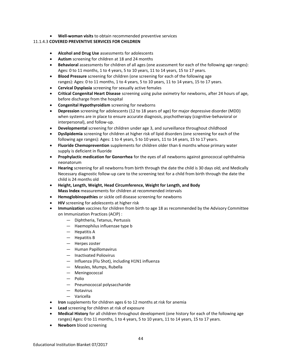**Well-woman visits** to obtain recommended preventive services

## 11.1.4.3 **COVERED PREVENTIVE SERVICES FOR CHILDREN**

- **Alcohol and Drug Use** assessments for adolescents
- **Autism** screening for children at 18 and 24 months
- **Behavioral** assessments for children of all ages (one assessment for each of the following age ranges): Ages: 0 to 11 months, 1 to 4 years, 5 to 10 years, 11 to 14 years, 15 to 17 years.
- **Blood Pressure** screening for children (one screening for each of the following age ranges): Ages: 0 to 11 months, 1 to 4 years, 5 to 10 years, 11 to 14 years, 15 to 17 years.
- **Cervical Dysplasia** screening for sexually active females
- **Critical Congenital Heart Disease** screening using pulse oximetry for newborns, after 24 hours of age, before discharge from the hospital
- **Congenital Hypothyroidism** screening for newborns
- **Depression** screening for adolescents (12 to 18 years of age) for major depressive disorder (MDD) when systems are in place to ensure accurate diagnosis, psychotherapy (cognitive-behavioral or interpersonal), and follow-up.
- **Developmental** screening for children under age 3, and surveillance throughout childhood
- **Dyslipidemia** screening for children at higher risk of lipid disorders (one screening for each of the following age ranges): Ages: 1 to 4 years, 5 to 10 years, 11 to 14 years, 15 to 17 years.
- **Fluoride Chemoprevention** supplements for children older than 6 months whose primary water supply is deficient in fluoride
- **Prophylactic medication for Gonorrhea** for the eyes of all newborns against gonococcal ophthalmia neonatorum
- **Hearing** screening for all newborns from birth through the date the child is 30 days old; and Medically Necessary diagnostic follow-up care to the screening test for a child from birth through the date the child is 24 months old
- **Height, Length, Weight, Head Circumference, Weight for Length, and Body Mass Index** measurements for children at recommended intervals
- **Hemoglobinopathies** or sickle cell disease screening for newborns
- **HIV** screening for adolescents at higher risk
- **Immunization** vaccines for children from birth to age 18 as recommended by the Advisory Committee on Immunization Practices (ACIP) :
	- Diphtheria, Tetanus, Pertussis
	- Haemophilus influenzae type b
	- Hepatitis A
	- Hepatitis B
	- Herpes zoster
	- Human Papillomavirus
	- Inactivated Poliovirus
	- Influenza (Flu Shot), including H1N1 influenza
	- Measles, Mumps, Rubella
	- Meningococcal
	- Polio
	- Pneumococcal polysaccharide
	- Rotavirus
	- Varicella
- **Iron** supplements for children ages 6 to 12 months at risk for anemia
- **Lead** screening for children at risk of exposure
- **Medical History** for all children throughout development (one history for each of the following age ranges) Ages: 0 to 11 months, 1 to 4 years, 5 to 10 years, 11 to 14 years, 15 to 17 years.
- **Newborn** blood screening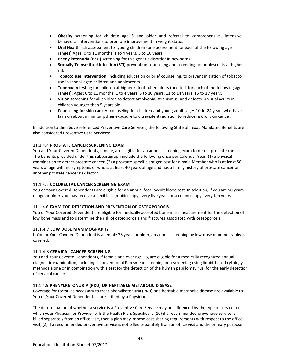- **Obesity** screening for children age 6 and older and referral to comprehensive, intensive behavioral interventions to promote improvement in weight status
- **Oral Health** risk assessment for young children (one assessment for each of the following age ranges) Ages: 0 to 11 months, 1 to 4 years, 5 to 10 years.
- **Phenylketonuria (PKU)** screening for this genetic disorder in newborns
- **Sexually Transmitted Infection (STI)** prevention counseling and screening for adolescents at higher risk
- **Tobacco use intervention**, including education or brief counseling, to prevent initiation of tobacco use in school-aged children and adolescents.
- **Tuberculin** testing for children at higher risk of tuberculosis (one test for each of the following age ranges): Ages: 0 to 11 months, 1 to 4 years, 5 to 10 years, 11 to 14 years, 15 to 17 years.
- **Vision** screening for all children to detect amblyopia, strabismus, and defects in visual acuity in children younger than 5 years old.
- **Counseling for skin cancer:** counseling for children and young adults ages 10 to 24 years who have fair skin about minimizing their exposure to ultraviolent radiation to reduce risk for skin cancer.

In addition to the above referenced Preventive Care Services, the following State of Texas Mandated Benefits are also considered Preventive Care Services:

## 11.1.4.4 **PROSTATE CANCER SCREENING EXAM**

You and Your Covered Dependents, if male, are eligible for an annual screening exam to detect prostate cancer. The benefits provided under this subparagraph include the following once per Calendar Year: (1) a physical examination to detect prostate cancer, (2) a prostate-specific antigen test for a male Member who is at least 50 years of age with no symptoms or who is at least 40 years of age and has a family history of prostate cancer or another prostate cancer risk factor.

### 11.1.4.5 **COLORECTAL CANCER SCREENING EXAM**

You or Your Covered Dependents are eligible for an annual fecal occult blood test. In addition, if you are 50 years of age or older you may receive a flexible sigmoidoscopy every five years or a colonoscopy every ten years.

#### 11.1.4.6 **EXAM FOR DETECTION AND PREVENTION OF OSTEOPOROSIS**

You or Your Covered Dependent are eligible for medically accepted bone mass measurement for the detection of low bone mass and to determine the risk of osteoporosis and fractures associated with osteoporosis.

#### 11.1.4.7 **LOW DOSE MAMMOGRAPHY**

If You or Your Covered Dependent is a female 35 years or older, an annual screening by low-dose mammography is covered.

#### 11.1.4.8 **CERVICAL CANCER SCREENING**

You and Your Covered Dependents, if female and over age 18, are eligible for a medically recognized annual diagnostic examination, including a conventional Pap smear screening or a screening using liquid-based cytology methods alone or in combination with a test for the detection of the human papillomavirus, for the early detection of cervical cancer.

#### 11.1.4.9 **PHENYLKETONURIA (PKU) OR HERITABLE METABOLIC DISEASE**

Coverage for formulas necessary to treat phenylketonuria (PKU) or a heritable metabolic disease are available to You or Your Covered Dependent as prescribed by a Physician.

The determination of whether a service is a Preventive Care Service may be influenced by the type of service for which your Physician or Provider bills the Health Plan. Specifically (10) if a recommended preventive service is billed separately from an office visit, then a plan may impose cost-sharing requirements with respect to the office visit, (2) if a recommended preventive service is not billed separately from an office visit and the primary purpose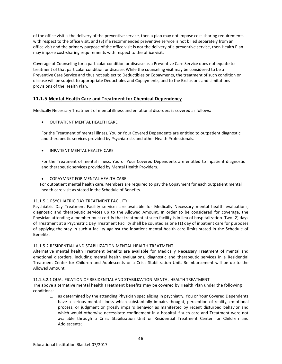of the office visit is the delivery of the preventive service, then a plan may not impose cost-sharing requirements with respect to the office visit, and (3) if a recommended preventive service is not billed separately from an office visit and the primary purpose of the office visit is not the delivery of a preventive service, then Health Plan may impose cost-sharing requirements with respect to the office visit.

Coverage of Counseling for a particular condition or disease as a Preventive Care Service does not equate to treatment of that particular condition or disease. While the counseling visit may be considered to be a Preventive Care Service and thus not subject to Deductibles or Copayments, the treatment of such condition or disease will be subject to appropriate Deductibles and Copayments, and to the Exclusions and Limitations provisions of the Health Plan.

# **11.1.5 Mental Health Care and Treatment for Chemical Dependency**

Medically Necessary Treatment of mental illness and emotional disorders is covered as follows:

OUTPATIENT MENTAL HEALTH CARE

For the Treatment of mental illness, You or Your Covered Dependents are entitled to outpatient diagnostic and therapeutic services provided by Psychiatrists and other Health Professionals.

INPATIENT MENTAL HEALTH CARE

For the Treatment of mental illness, You or Your Covered Dependents are entitled to inpatient diagnostic and therapeutic services provided by Mental Health Providers.

COPAYMNET FOR MENTAL HEALTH CARE

For outpatient mental health care, Members are required to pay the Copayment for each outpatient mental health care visit as stated in the Schedule of Benefits.

## 11.1.5.1 PSYCHIATRIC DAY TREATMENT FACILITY

Psychiatric Day Treatment Facility services are available for Medically Necessary mental health evaluations, diagnostic and therapeutic services up to the Allowed Amount. In order to be considered for coverage, the Physician attending a member must certify that treatment at such facility is in lieu of hospitalization. Two (2) days of Treatment at a Psychiatric Day Treatment Facility shall be counted as one (1) day of inpatient care for purposes of applying the stay in such a facility against the inpatient mental health care limits stated in the Schedule of Benefits.

## 11.1.5.2 RESIDENTIAL AND STABILIZATION MENTAL HEALTH TREATMENT

Alternative mental health Treatment benefits are available for Medically Necessary Treatment of mental and emotional disorders, including mental health evaluations, diagnostic and therapeutic services in a Residential Treatment Center for Children and Adolescents or a Crisis Stabilization Unit. Reimbursement will be up to the Allowed Amount.

## 11.1.5.2.1 QUALIFICATION OF RESIDENTIAL AND STABILIZATION MENTAL HEALTH TREATMENT

The above alternative mental health Treatment benefits may be covered by Health Plan under the following conditions:

1. as determined by the attending Physician specializing in psychiatry, You or Your Covered Dependents have a serious mental illness which substantially impairs thought, perception of reality, emotional process, or judgment or grossly impairs behavior as manifested by recent disturbed behavior and which would otherwise necessitate confinement in a hospital if such care and Treatment were not available through a Crisis Stabilization Unit or Residential Treatment Center for Children and Adolescents;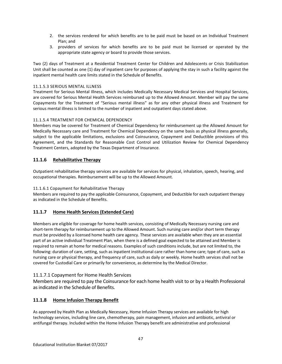- 2. the services rendered for which benefits are to be paid must be based on an Individual Treatment Plan; and
- 3. providers of services for which benefits are to be paid must be licensed or operated by the appropriate state agency or board to provide those services.

Two (2) days of Treatment at a Residential Treatment Center for Children and Adolescents or Crisis Stabilization Unit shall be counted as one (1) day of inpatient care for purposes of applying the stay in such a facility against the inpatient mental health care limits stated in the Schedule of Benefits.

## 11.1.5.3 SERIOUS MENTAL ILLNESS

Treatment for Serious Mental Illness, which includes Medically Necessary Medical Services and Hospital Services, are covered for Serious Mental Health Services reimbursed up to the Allowed Amount. Member will pay the same Copayments for the Treatment of "Serious mental illness" as for any other physical illness and Treatment for serious mental illness is limited to the number of inpatient and outpatient days stated above.

# 11.1.5.4 TREATMENT FOR CHEMICAL DEPENDENCY

Members may be covered for Treatment of Chemical Dependency for reimbursement up the Allowed Amount for Medically Necessary care and Treatment for Chemical Dependency on the same basis as physical illness generally, subject to the applicable limitations, exclusions and Coinsurance, Copayment and Deductible provisions of this Agreement, and the Standards for Reasonable Cost Control and Utilization Review for Chemical Dependency Treatment Centers, adopted by the Texas Department of Insurance.

# **11.1.6 Rehabilitative Therapy**

Outpatient rehabilitative therapy services are available for services for physical, inhalation, speech, hearing, and occupational therapies. Reimbursement will be up to the Allowed Amount.

# 11.1.6.1 Copayment for Rehabilitative Therapy

Members are required to pay the applicable Coinsurance, Copayment, and Deductible for each outpatient therapy as indicated in the Schedule of Benefits.

# **11.1.7 Home Health Services (Extended Care)**

Members are eligible for coverage for home health services, consisting of Medically Necessary nursing care and short-term therapy for reimbursement up to the Allowed Amount. Such nursing care and/or short term therapy must be provided by a licensed home health care agency. These services are available when they are an essential part of an active individual Treatment Plan, when there is a defined goal expected to be attained and Member is required to remain at home for medical reasons. Examples of such conditions include, but are not limited to, the following: duration of care, setting, such as inpatient institutional care rather than home care; type of care, such as nursing care or physical therapy, and frequency of care, such as daily or weekly. Home health services shall not be covered for Custodial Care or primarily for convenience, as determine by the Medical Director.

# 11.1.7.1 Copayment for Home Health Services

Members are required to pay the Coinsurance for each home health visit to or by a Health Professional as indicated in the Schedule of Benefits.

# **11.1.8 Home Infusion Therapy Benefit**

As approved by Health Plan as Medically Necessary, Home Infusion Therapy services are available for high technology services, including line care, chemotherapy, pain management, infusion and antibiotic, antiviral or antifungal therapy. Included within the Home Infusion Therapy benefit are administrative and professional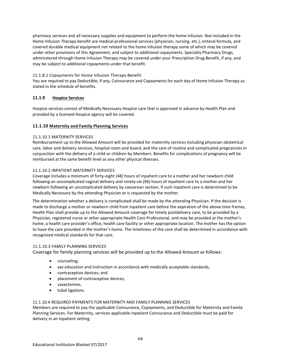pharmacy services and all necessary supplies and equipment to perform the home infusion. Not included in the Home Infusion Therapy benefit are medical professional services (physician, nursing, etc.), enteral formula, and covered durable medical equipment not related to the home infusion therapy some of which may be covered under other provisions of this Agreement, and subject to additional copayments. Specialty Pharmacy Drugs, administered through Home Infusion Therapy may be covered under your Prescription Drug Benefit, if any, and may be subject to additional copayments under that benefit.

# 11.1.8.1 Copayments for Home Infusion Therapy Benefit

You are required to pay Deductible, if any, Coinsurance and Copayments for each day of Home Infusion Therapy as stated in the schedule of benefits.

# **11.1.9 Hospice Services**

Hospice services consist of Medically Necessary Hospice care that is approved in advance by Health Plan and provided by a licensed Hospice agency will be covered.

# **11.1.10 Maternity and Family Planning Services**

# 11.1.10.1 MATERNITY SERVICES

Reimbursement up to the Allowed Amount will be provided for maternity services including physician obstetrical care, labor and delivery services, hospital room and board, and the care of routine and complicated pregnancies in conjunction with the delivery of a child or children by Members. Benefits for complications of pregnancy will be reimbursed at the same benefit level as any other physical illnesses.

# 11.1.10.2 INPATIENT MATERNITY SERVICES

Coverage includes a minimum of forty-eight (48) hours of inpatient care to a mother and her newborn child following an uncomplicated vaginal delivery and ninety-six (96) hours of inpatient care to a mother and her newborn following an uncomplicated delivery by caesarean section, if such inpatient care is determined to be Medically Necessary by the attending Physician or is requested by the mother.

The determination whether a delivery is complicated shall be made by the attending Physician. If the decision is made to discharge a mother or newborn child from inpatient care before the expiration of the above time frames, Health Plan shall provide up to the Allowed Amount coverage for timely postdelivery care, to be provided by a Physician, registered nurse or other appropriate Health Care Professional, and may be provided at the mother's home, a health care provider's office, health care facility or other appropriate location. The mother has the option to have the care provided in the mother's home. The timeliness of the care shall be determined in accordance with recognized medical standards for that care.

## 11.1.10.3 FAMILY PLANNING SERVICES

Coverage for family planning services will be provided up to the Allowed Amount as follows:

- counseling;
- sex education and instruction in accordance with medically acceptable standards;
- contraceptive devices; and
- placement of contraceptive devices,
- vasectomies,
- tubal ligations.

## 11.1.10.4 REQUIRED PAYMENTS FOR MATERNITY AND FAMILY PLANNING SERVICES

Members are required to pay the applicable Coinsurance, Copayments, and Deductible for Maternity and Family Planning Services. For Maternity, services applicable inpatient Coinsurance and Deductible must be paid for delivery in an inpatient setting.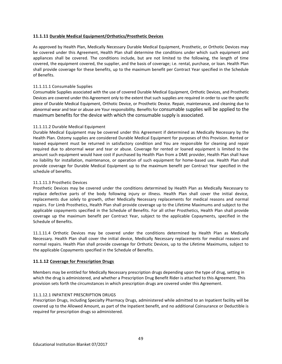## **11.1.11 Durable Medical Equipment/Orthotics/Prosthetic Devices**

As approved by Health Plan, Medically Necessary Durable Medical Equipment, Prosthetic, or Orthotic Devices may be covered under this Agreement, Health Plan shall determine the conditions under which such equipment and appliances shall be covered. The conditions include, but are not limited to the following, the length of time covered, the equipment covered, the supplier, and the basis of coverage; i.e. rental, purchase, or loan. Health Plan shall provide coverage for these benefits, up to the maximum benefit per Contract Year specified in the Schedule of Benefits.

## 11.1.11.1 Consumable Supplies

Consumable Supplies associated with the use of covered Durable Medical Equipment, Orthotic Devices, and Prosthetic Devices are covered under this Agreement only to the extent that such supplies are required in order to use the specific piece of Durable Medical Equipment, Orthotic Device, or Prosthetic Device. Repair, maintenance, and cleaning due to abnormal wear and tear or abuse are Your responsibility. Benefits for consumable supplies will be applied to the maximum benefits for the device with which the consumable supply is associated.

### 11.1.11.2 Durable Medical Equipment

Durable Medical Equipment may be covered under this Agreement if determined as Medically Necessary by the Health Plan. Ostomy supplies are considered Durable Medical Equipment for purposes of this Provision. Rented or loaned equipment must be returned in satisfactory condition and You are responsible for cleaning and repair required due to abnormal wear and tear or abuse. Coverage for rented or loaned equipment is limited to the amount such equipment would have cost if purchased by Health Plan from a DME provider, Health Plan shall have no liability for installation, maintenance, or operation of such equipment for home-based use. Health Plan shall provide coverage for Durable Medical Equipment up to the maximum benefit per Contract Year specified in the schedule of benefits.

## 11.1.11.3 Prosthetic Devices

Prosthetic Devices may be covered under the conditions determined by Health Plan as Medically Necessary to replace defective parts of the body following injury or illness. Health Plan shall cover the initial device, replacements due solely to growth, other Medically Necessary replacements for medical reasons and normal repairs. For Limb Prosthetics, Health Plan shall provide coverage up to the Lifetime Maximums and subject to the applicable copayments specified in the Schedule of Benefits. For all other Prosthetics, Health Plan shall provide coverage up the maximum benefit per Contract Year, subject to the applicable Copayments, specified in the Schedule of Benefits.

11.1.11.4 Orthotic Devices may be covered under the conditions determined by Health Plan as Medically Necessary. Health Plan shall cover the initial device, Medically Necessary replacements for medical reasons and normal repairs. Health Plan shall provide coverage for Orthotic Devices, up to the Lifetime Maximums, subject to the applicable Copayments specified in the Schedule of Benefits.

## **11.1.12 Coverage for Prescription Drugs**

Members may be entitled for Medically Necessary prescription drugs depending upon the type of drug, setting in which the drug is administered, and whether a Prescription Drug Benefit Rider is attached to this Agreement. This provision sets forth the circumstances in which prescription drugs are covered under this Agreement.

## 11.1.12.1 INPATIENT PRESCRIPTION DRUGS

Prescription Drugs, including Specialty Pharmacy Drugs, administered while admitted to an Inpatient facility will be covered up to the Allowed Amount, as part of the Inpatient benefit, and no additional Coinsurance or Deductible is required for prescription drugs so administered.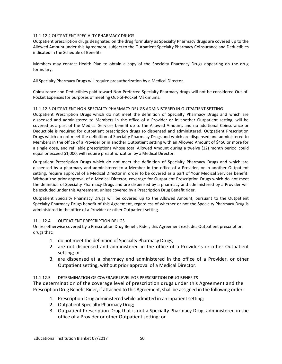## 11.1.12.2 OUTPATIENT SPECIALTY PHARMACY DRUGS

Outpatient prescription drugs designated on the drug formulary as Specialty Pharmacy drugs are covered up to the Allowed Amount under this Agreement, subject to the Outpatient Specialty Pharmacy Coinsurance and Deductibles indicated in the Schedule of Benefits.

Members may contact Health Plan to obtain a copy of the Specialty Pharmacy Drugs appearing on the drug formulary.

All Specialty Pharmacy Drugs will require preauthorization by a Medical Director.

Coinsurance and Deductibles paid toward Non-Preferred Specialty Pharmacy drugs will not be considered Out-of-Pocket Expenses for purposes of meeting Out-of-Pocket Maximums.

# 11.1.12.3 OUTPATIENT NON-SPECIALTY PHARMACY DRUGS ADMINISTERED IN OUTPATIENT SETTING

Outpatient Prescription Drugs which do not meet the definition of Specialty Pharmacy Drugs and which are dispensed and administered to Members in the office of a Provider or in another Outpatient setting, will be covered as a part of the Medical Services benefit up to the Allowed Amount, and no additional Coinsurance or Deductible is required for outpatient prescription drugs so dispensed and administered. Outpatient Prescription Drugs which do not meet the definition of Specialty Pharmacy Drugs and which are dispensed and administered to Members in the office of a Provider or in another Outpatient setting with an Allowed Amount of \$450 or more for a single dose, and refillable prescriptions whose total Allowed Amount during a twelve (12) month period could equal or exceed \$1,000, will require preauthorization by a Medical Director.

Outpatient Prescription Drugs which do not meet the definition of Specialty Pharmacy Drugs and which are dispensed by a pharmacy and administered to a Member in the office of a Provider, or in another Outpatient setting, require approval of a Medical Director in order to be covered as a part of Your Medical Services benefit. Without the prior approval of a Medical Director, coverage for Outpatient Prescription Drugs which do not meet the definition of Specialty Pharmacy Drugs and are dispensed by a pharmacy and administered by a Provider will be excluded under this Agreement, unless covered by a Prescription Drug Benefit rider.

Outpatient Specialty Pharmacy Drugs will be covered up to the Allowed Amount, pursuant to the Outpatient Specialty Pharmacy Drugs benefit of this Agreement, regardless of whether or not the Specialty Pharmacy Drug is administered in the office of a Provider or other Outpatient setting.

# 11.1.12.4 OUTPATIENT PRESCRIPTION DRUGS

Unless otherwise covered by a Prescription Drug Benefit Rider, this Agreement excludes Outpatient prescription drugs that:

- 1. do not meet the definition of Specialty Pharmacy Drugs,
- 2. are not dispensed and administered in the office of a Provider's or other Outpatient setting; or
- 3. are dispensed at a pharmacy and administered in the office of a Provider, or other Outpatient setting, without prior approval of a Medical Director.

# 11.1.12.5 DETERMINATION OF COVERAGE LEVEL FOR PRESCRIPTION DRUG BENEFITS

The determination of the coverage level of prescription drugs under this Agreement and the Prescription Drug Benefit Rider, if attached to this Agreement, shall be assigned in the following order:

- 1. Prescription Drug administered while admitted in an inpatient setting;
- 2. Outpatient Specialty Pharmacy Drug;
- 3. Outpatient Prescription Drug that is not a Specialty Pharmacy Drug, administered in the office of a Provider or other Outpatient setting; or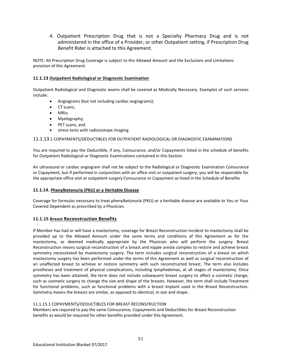4. Outpatient Prescription Drug that is not a Specialty Pharmacy Drug and is not administered in the office of a Provider, or other Outpatient setting, if Prescription Drug Benefit Rider is attached to this Agreement.

NOTE: All Prescription Drug Coverage is subject to the Allowed Amount and the Exclusions and Limitations provision of this Agreement.

# **11.1.13 Outpatient Radiological or Diagnostic Examination**

Outpatient Radiological and Diagnostic exams shall be covered as Medically Necessary. Examples of such services include:

- Angiograms (but not including cardiac angiograms);
- CT scans:
- MRIs;
- Myelography;
- PET scans: and
- stress tests with radioisotope imaging

## 11.1.13.1 COPAYMENTS/DEDUCTIBLES FOR OUTPATIENT RADIOLOGICAL OR DIAGNOSTIC EXAMINATIONS

You are required to pay the Deductible, if any, Coinsurance, and/or Copayments listed in the schedule of benefits for Outpatient Radiological or Diagnostic Examinations contained in this Section.

An ultrasound or cardiac angiogram shall not be subject to the Radiological or Diagnostic Examination Coinsurance or Copayment, but if performed in conjunction with an office visit or outpatient surgery, you will be responsible for the appropriate office visit or outpatient surgery Coinsurance or Copayment as listed in the Schedule of Benefits

## **11.1.14. Phenylketonuria (PKU) or a Heritable Disease**

Coverage for formulas necessary to treat phenylketonuria (PKU) or a heritable disease are available to You or Your Covered Dependent as prescribed by a Physician.

## **11.1.15 Breast Reconstruction Benefits**

If Member has had or will have a mastectomy, coverage for Breast Reconstruction incident to mastectomy shall be provided up to the Allowed Amount under the same terms and conditions of this Agreement as for the mastectomy, as deemed medically appropriate by the Physician who will perform the surgery. Breast Reconstruction means surgical reconstruction of a breast and nipple areola complex to restore and achieve breast symmetry necessitated by mastectomy surgery. The term includes surgical reconstruction of a breast on which mastectomy surgery has been performed under the terms of this Agreement as well as surgical reconstruction of an unaffected breast to achieve or restore symmetry with such reconstructed breast. The term also includes prostheses and treatment of physical complications, including lymphedemas, at all stages of mastectomy. Once symmetry has been attained, the term does not include subsequent breast surgery to affect a cosmetic change, such as cosmetic surgery to change the size and shape of the breasts. However, the term shall include Treatment for functional problems, such as functional problems with a breast implant used in the Breast Reconstruction. Symmetry means the breasts are similar, as opposed to identical, in size and shape.

## 11.1.15.1 COPAYMENTS/DEDUCTIBLES FOR BREAST RECONSTRUCTION

Members are required to pay the same Coinsurance, Copayments and Deductibles for Breast Reconstruction benefits as would be required for other benefits provided under this Agreement.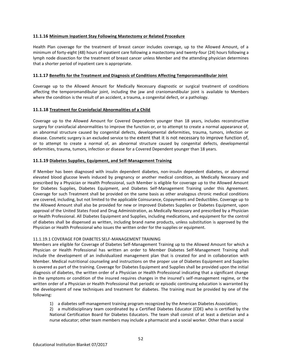## **11.1.16 Minimum Inpatient Stay Following Mastectomy or Related Procedure**

Health Plan coverage for the treatment of breast cancer includes coverage, up to the Allowed Amount, of a minimum of forty-eight (48) hours of inpatient care following a mastectomy and twenty-four (24) hours following a lymph node dissection for the treatment of breast cancer unless Member and the attending physician determines that a shorter period of inpatient care is appropriate.

## **11.1.17 Benefits for the Treatment and Diagnosis of Conditions Affecting Temporomandibular Joint**

Coverage up to the Allowed Amount for Medically Necessary diagnostic or surgical treatment of conditions affecting the temporomandibular joint, including the jaw and craniomandibular joint is available to Members where the condition is the result of an accident, a trauma, a congenital defect, or a pathology.

## **11.1.18 Treatment for Craniofacial Abnormalities of a Child**

Coverage up to the Allowed Amount for Covered Dependents younger than 18 years, includes reconstructive surgery for craniofacial abnormalities to improve the function or, or to attempt to create a normal appearance of, an abnormal structure caused by congenital defects, developmental deformities, trauma, tumors, infection or disease. Cosmetic surgery is an excluded service to the extent that it is not necessary to improve function of, or to attempt to create a normal of, an abnormal structure caused by congenital defects, developmental deformities, trauma, tumors, infection or disease for a Covered Dependent younger than 18 years.

### **11.1.19 Diabetes Supplies, Equipment, and Self-Management Training**

If Member has been diagnosed with insulin dependent diabetes, non-insulin dependent diabetes, or abnormal elevated blood glucose levels induced by pregnancy or another medical condition, as Medically Necessary and prescribed by a Physician or Health Professional, such Member is eligible for coverage up to the Allowed Amount for Diabetes Supplies, Diabetes Equipment, and Diabetes Self-Management Training under this Agreement. Coverage for such Treatment shall be provided on the same basis as other analogous chronic medical conditions are covered, including, but not limited to the applicable Coinsurance, Copayments and Deductibles. Coverage up to the Allowed Amount shall also be provided for new or improved Diabetes Supplies or Diabetes Equipment, upon approval of the United States Food and Drug Administration, as Medically Necessary and prescribed by a Physician or Health Professional. All Diabetes Equipment and Supplies, including medications, and equipment for the control of diabetes shall be dispensed as written, including brand name products, unless substitution is approved by the Physician or Health Professional who issues the written order for the supplies or equipment.

## 11.1.19.1 COVERAGE FOR DIABETES SELF-MANAGEMENT TRAINING

Members are eligible for Coverage of Diabetes Self-Management Training up to the Allowed Amount for which a Physician or Health Professional has written an order to Member Diabetes Self-Management Training shall include the development of an individualized management plan that is created for and in collaboration with Member. Medical nutritional counseling and instructions on the proper use of Diabetes Equipment and Supplies is covered as part of the training. Coverage for Diabetes Equipment and Supplies shall be provided upon the initial diagnosis of diabetes, the written order of a Physician or Health Professional indicating that a significant change in the symptoms or condition of the insured requires changes in the insured's self-management regime, or the written order of a Physician or Health Professional that periodic or episodic continuing education is warranted by the development of new techniques and treatment for diabetes. The training must be provided by one of the following:

- 1) a diabetes self-management training program recognized by the American Diabetes Association;
- 2) a multidisciplinary team coordinated by a Certified Diabetes Educator (CDE) who is certified by the National Certification Board for Diabetes Educators. The team shall consist of at least a dietician and a nurse educator; other team members may include a pharmacist and a social worker. Other than a social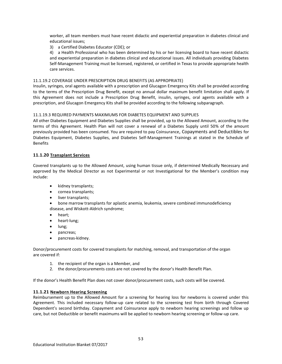worker, all team members must have recent didactic and experiential preparation in diabetes clinical and educational issues;

3) a Certified Diabetes Educator (CDE); or

4) a Health Professional who has been determined by his or her licensing board to have recent didactic and experiential preparation in diabetes clinical and educational issues. All individuals providing Diabetes Self-Management Training must be licensed, registered, or certified in Texas to provide appropriate health care services.

### 11.1.19.2 COVERAGE UNDER PRESCRIPTION DRUG BENEFITS (AS APPROPRIATE)

Insulin, syringes, oral agents available with a prescription and Glucagon Emergency Kits shall be provided according to the terms of the Prescription Drug Benefit, except no annual dollar maximum benefit limitation shall apply. If this Agreement does not include a Prescription Drug Benefit, insulin, syringes, oral agents available with a prescription, and Glucagon Emergency Kits shall be provided according to the following subparagraph.

### 11.1.19.3 REQUIRED PAYMENTS MAXIMUMS FOR DIABETES EQUIPMENT AND SUPPLIES

All other Diabetes Equipment and Diabetes Supplies shall be provided, up to the Allowed Amount, according to the terms of this Agreement. Health Plan will not cover a renewal of a Diabetes Supply until 50% of the amount previously provided has been consumed. You are required to pay Coinsurance, Copayments and Deductibles for Diabetes Equipment, Diabetes Supplies, and Diabetes Self-Management Trainings at stated in the Schedule of Benefits

### **11.1.20 Transplant Services**

Covered transplants up to the Allowed Amount, using human tissue only, if determined Medically Necessary and approved by the Medical Director as not Experimental or not Investigational for the Member's condition may include:

- kidney transplants;
- cornea transplants;
- liver transplants;
- bone marrow transplants for aplastic anemia, leukemia, severe combined immunodeficiency disease, and Wiskott-Aldrich syndrome;
- heart;
- heart-lung;
- lung;
- pancreas;
- pancreas-kidney.

Donor/procurement costs for covered transplants for matching, removal, and transportation of the organ are covered if:

- 1. the recipient of the organ is a Member, and
- 2. the donor/procurements costs are not covered by the donor's Health Benefit Plan.

If the donor's Health Benefit Plan does not cover donor/procurement costs, such costs will be covered.

#### **11.1.21 Newborn Hearing Screening**

Reimbursement up to the Allowed Amount for a screening for hearing loss for newborns is covered under this Agreement. This included necessary follow-up care related to the screening test from birth through Covered Dependent's second birthday. Copayment and Coinsurance apply to newborn hearing screenings and follow up care, but not Deductible or benefit maximums will be applied to newborn hearing screening or follow-up care.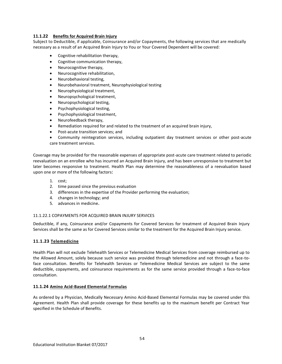## **11.1.22 Benefits for Acquired Brain Injury**

Subject to Deductible, if applicable, Coinsurance and/or Copayments, the following services that are medically necessary as a result of an Acquired Brain Injury to You or Your Covered Dependent will be covered:

- Cognitive rehabilitation therapy,
- Cognitive communication therapy,
- Neurocognitive therapy,
- Neurocognitive rehabilitation,
- Neurobehavioral testing,
- Neurobehavioral treatment, Neurophysiological testing
- Neurophysiological treatment,
- Neuropsychological treatment,
- Neuropsychological testing,
- Psychophysiological testing,
- Psychophysiological treatment,
- Neurofeedback therapy,
- Remediation required for and related to the treatment of an acquired brain injury,
- Post-acute transition services; and
- Community reintegration services, including outpatient day treatment services or other post-acute care treatment services.

Coverage may be provided for the reasonable expenses of appropriate post-acute care treatment related to periodic reevaluation on an enrollee who has incurred an Acquired Brain Injury, and has been unresponsive to treatment but later becomes responsive to treatment. Health Plan may determine the reasonableness of a reevaluation based upon one or more of the following factors:

- 1. cost;
- 2. time passed since the previous evaluation
- 3. differences in the expertise of the Provider performing the evaluation;
- 4. changes in technology; and
- 5. advances in medicine.

## 11.1.22.1 COPAYMENTS FOR ACQUIRED BRAIN INJURY SERVICES

Deductible, if any, Coinsurance and/or Copayments for Covered Services for treatment of Acquired Brain Injury Services shall be the same as for Covered Services similar to the treatment for the Acquired Brain Injury service.

## **11.1.23 Telemedicine**

Health Plan will not exclude Telehealth Services or Telemedicine Medical Services from coverage reimbursed up to the Allowed Amount, solely because such service was provided through telemedicine and not through a face-toface consultation. Benefits for Telehealth Services or Telemedicine Medical Services are subject to the same deductible, copayments, and coinsurance requirements as for the same service provided through a face-to-face consultation.

## **11.1.24 Amino Acid-Based Elemental Formulas**

As ordered by a Physician, Medically Necessary Amino Acid-Based Elemental Formulas may be covered under this Agreement. Health Plan shall provide coverage for these benefits up to the maximum benefit per Contract Year specified in the Schedule of Benefits.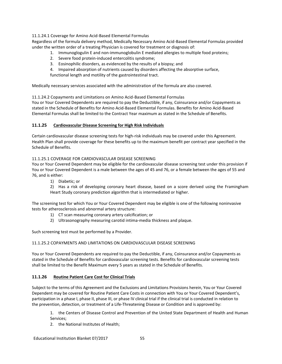11.1.24.1 Coverage for Amino Acid-Based Elemental Formulas

Regardless of the formula delivery method, Medically Necessary Amino Acid-Based Elemental Formulas provided under the written order of a treating Physician is covered for treatment or diagnosis of:

- 1. Immunoglogulin E and non-immunoglobulin E mediated allergies to multiple food proteins;
- 2. Severe food protein-induced entercolitis syndrome;
- 3. Eosinophilic disorders, as evidenced by the results of a biopsy; and
- 4. Impaired absorption of nutrients caused by disorders affecting the absorptive surface,
- functional length and motility of the gastrointestinal tract.

Medically necessary services associated with the administration of the formula are also covered.

11.1.24.2 Copayments and Limitations on Amino Acid-Based Elemental Formulas

You or Your Covered Dependents are required to pay the Deductible, if any, Coinsurance and/or Copayments as stated in the Schedule of Benefits for Amino Acid-Based Elemental Formulas. Benefits for Amino Acid-Based Elemental Formulas shall be limited to the Contract Year maximum as stated in the Schedule of Benefits.

# **11.1.25 Cardiovascular Disease Screening for High Risk Individuals**

Certain cardiovascular disease screening tests for high-risk individuals may be covered under this Agreement. Health Plan shall provide coverage for these benefits up to the maximum benefit per contract year specified in the Schedule of Benefits.

11.1.25.1 COVERAGE FOR CARDIOVASCULAR DISEASE SCREENING

You or Your Covered Dependent may be eligible for the cardiovascular disease screening test under this provision if You or Your Covered Dependent is a male between the ages of 45 and 76, or a female between the ages of 55 and 76, and is either:

1) Diabetic; or

2) Has a risk of developing coronary heart disease, based on a score derived using the Framingham Heart Study coronary prediction algorithm that is intermediated or higher.

The screening test for which You or Your Covered Dependent may be eligible is one of the following noninvasive tests for atherosclerosis and abnormal artery structure:

- 1) CT scan measuring coronary artery calcification; or
- 2) Ultrasonography measuring carotid intima-media thickness and plaque.

Such screening test must be performed by a Provider.

# 11.1.25.2 COPAYMENTS AND LIMITATIONS ON CARDIOVASCULAR DISEASE SCREENING

You or Your Covered Dependents are required to pay the Deductible, if any, Coinsurance and/or Copayments as stated in the Schedule of Benefits for cardiovascular screening tests. Benefits for cardiovascular screening tests shall be limited to the Benefit Maximum every 5 years as stated in the Schedule of Benefits.

# **11.1.26 Routine Patient Care Cost for Clinical Trials**

Subject to the terms of this Agreement and the Exclusions and Limitations Provisions herein, You or Your Covered Dependent may be covered for Routine Patient Care Costs in connection with You or Your Covered Dependent's, participation in a phase I, phase II, phase III, or phase IV clinical trial if the clinical trial is conducted in relation to the prevention, detection, or treatment of a Life-Threatening Disease or Condition and is approved by:

1. the Centers of Disease Control and Prevention of the United State Department of Health and Human Services;

2. the National Institutes of Health;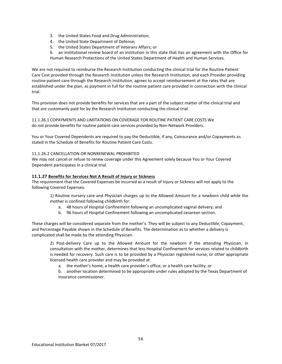- 3. the United States Food and Drug Administration;
- 4. the United State Department of Defense;
- 5. the United States Department of Veterans Affairs; or
- 6. an institutional review board of an institution in this state that has an agreement with the Office for Human Research Protections of the United States Department of Health and Human Services.

We are not required to reimburse the Research Institution conducting the clinical trial for the Routine Patient Care Cost provided through the Research Institution unless the Research Institution, and each Provider providing routine patient care through the Research Institution, agrees to accept reimbursement at the rates that are established under the plan, as payment in full for the routine patient care provided in connection with the clinical trial.

This provision does not provide benefits for services that are a part of the subject matter of the clinical trial and that are customarily paid for by the Research Institution conducting the clinical trial.

11.1.26.1 COPAYMENTS AND LIMITATIONS ON COVERAGE FOR ROUTINE PATIENT CARE COSTS We do not provide benefits for routine patient care services provided by Non-Network Providers.

You or Your Covered Dependents are required to pay the Deductible, if any, Coinsurance and/or Copayments as stated in the Schedule of Benefits for Routine Patient Care Costs.

# 11.1.26.2 CANCELLATION OR NONRENEWAL PROHIBITED

We may not cancel or refuse to renew coverage under this Agreement solely because You or Your Covered Dependent participates in a clinical trial.

## **11.1.27 Benefits for Services Not A Result of Injury or Sickness**

The requirement that the Covered Expenses be incurred as a result of Injury or Sickness will not apply to the following Covered Expenses:

1) Routine nursery care and Physician charges up to the Allowed Amount for a newborn child while the mother is confined following childbirth for:

- a. 48 hours of Hospital Confinement following an uncomplicated vaginal delivery; and
- b. 96 hours of Hospital Confinement following an uncomplicated cesarean section.

These charges will be considered separate from the mother's. They will be subject to any Deductible, Copayment, and Percentage Payable shown in the Schedule of Benefits. The determination as to whether a delivery is complicated shall be made by the attending Physician.

2) Post-delivery Care up to the Allowed Amount for the newborn if the attending Physician, in consultation with the mother, determines that less Hospital Confinement for services related to childbirth is needed for recovery. Such care is to be provided by a Physician registered nurse, or other appropriate licensed health care provider and may be provided at:

a. the mother's home, a health care provider's office, or a health care facility; or

b. another location determined to be appropriate under rules adopted by the Texas Department of Insurance commissioner.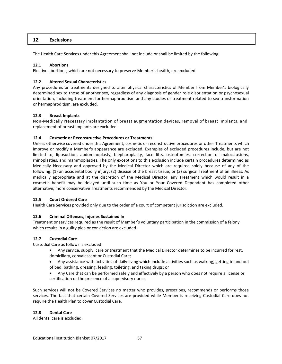# **12. Exclusions**

The Health Care Services under this Agreement shall not include or shall be limited by the following:

## **12.1 Abortions**

Elective abortions, which are not necessary to preserve Member's health, are excluded.

## **12.2 Altered Sexual Characteristics**

Any procedures or treatments designed to alter physical characteristics of Member from Member's biologically determined sex to those of another sex, regardless of any diagnosis of gender role disorientation or psychosexual orientation, including treatment for hermaphroditism and any studies or treatment related to sex transformation or hermaphroditism, are excluded.

### **12.3 Breast Implants**

Non-Medically Necessary implantation of breast augmentation devices, removal of breast implants, and replacement of breast implants are excluded.

### **12.4 Cosmetic or Reconstructive Procedures or Treatments**

Unless otherwise covered under this Agreement, cosmetic or reconstructive procedures or other Treatments which improve or modify a Member's appearance are excluded. Examples of excluded procedures include, but are not limited to, liposuction, abdominoplasty, blepharoplasty, face lifts, osteotomies, correction of malocclusions, rhinoplasties, and mammoplasties. The only exceptions to this exclusion include certain procedures determined as Medically Necessary and approved by the Medical Director which are required solely because of any of the following: (1) an accidental bodily injury; (2) disease of the breast tissue; or (3) surgical Treatment of an illness. As medically appropriate and at the discretion of the Medical Director, any Treatment which would result in a cosmetic benefit may be delayed until such time as You or Your Covered Dependent has completed other alternative, more conservative Treatments recommended by the Medical Director.

#### **12.5 Court Ordered Care**

Health Care Services provided only due to the order of a court of competent jurisdiction are excluded.

## **12.6 Criminal Offenses, Injuries Sustained In**

Treatment or services required as the result of Member's voluntary participation in the commission of a felony which results in a guilty plea or conviction are excluded.

## **12.7 Custodial Care**

Custodial Care as follows is excluded:

- Any service, supply, care or treatment that the Medical Director determines to be incurred for rest, domiciliary, convalescent or Custodial Care;
- Any assistance with activities of daily living which include activities such as walking, getting in and out of bed, bathing, dressing, feeding, toileting, and taking drugs; or
- Any Care that can be performed safely and effectively by a person who does not require a license or certification or the presence of a supervisory nurse.

Such services will not be Covered Services no matter who provides, prescribes, recommends or performs those services. The fact that certain Covered Services are provided while Member is receiving Custodial Care does not require the Health Plan to cover Custodial Care.

#### **12.8 Dental Care**

All dental care is excluded.